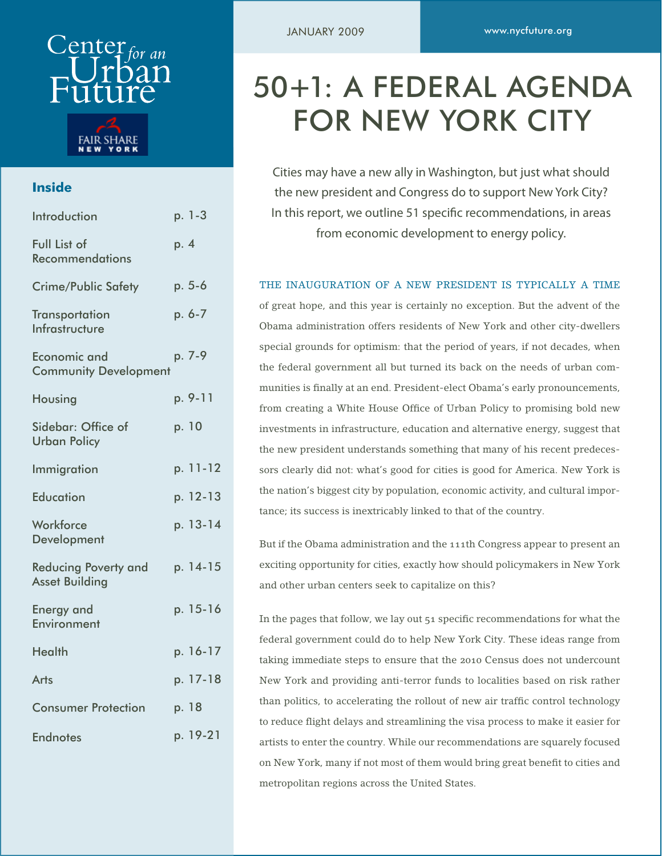# Center  $f_{\text{or an}}$

#### **Inside**

| Introduction                                         |      | p. 1-3   |
|------------------------------------------------------|------|----------|
| Full List of<br><b>Recommendations</b>               | p. 4 |          |
| <b>Crime/Public Safety</b>                           |      | p. 5-6   |
| <b>Transportation</b><br>Infrastructure              |      | p. 6-7   |
| <b>Economic and</b><br><b>Community Development</b>  |      | p. 7-9   |
| Housing                                              |      | p. 9-11  |
| Sidebar: Office of<br><b>Urban Policy</b>            |      | p. 10    |
| Immigration                                          |      | p. 11-12 |
| <b>Education</b>                                     |      | p. 12-13 |
| Workforce<br><b>Development</b>                      |      | p. 13-14 |
| <b>Reducing Poverty and</b><br><b>Asset Building</b> |      | p. 14-15 |
| <b>Energy and</b><br>Environment                     |      | p. 15-16 |
| <b>Health</b>                                        |      | p. 16-17 |
| <b>Arts</b>                                          |      | p. 17-18 |
| <b>Consumer Protection</b>                           |      | p. 18    |
| <b>Endnotes</b>                                      |      | p. 19-21 |
|                                                      |      |          |

## 50+1: A Federal Agenda FOR NEW YORK CITY

Cities may have a new ally in Washington, but just what should the new president and Congress do to support New York City? In this report, we outline 51 specific recommendations, in areas from economic development to energy policy.

#### THE INAUGURATION OF A NEW PRESIDENT IS TYPICALLY A TIME

of great hope, and this year is certainly no exception. But the advent of the Obama administration offers residents of New York and other city-dwellers special grounds for optimism: that the period of years, if not decades, when the federal government all but turned its back on the needs of urban communities is finally at an end. President-elect Obama's early pronouncements, from creating a White House Office of Urban Policy to promising bold new investments in infrastructure, education and alternative energy, suggest that the new president understands something that many of his recent predecessors clearly did not: what's good for cities is good for America. New York is the nation's biggest city by population, economic activity, and cultural importance; its success is inextricably linked to that of the country.

But if the Obama administration and the 111th Congress appear to present an exciting opportunity for cities, exactly how should policymakers in New York and other urban centers seek to capitalize on this?

In the pages that follow, we lay out 51 specific recommendations for what the federal government could do to help New York City. These ideas range from taking immediate steps to ensure that the 2010 Census does not undercount New York and providing anti-terror funds to localities based on risk rather than politics, to accelerating the rollout of new air traffic control technology to reduce flight delays and streamlining the visa process to make it easier for artists to enter the country. While our recommendations are squarely focused on New York, many if not most of them would bring great benefit to cities and metropolitan regions across the United States.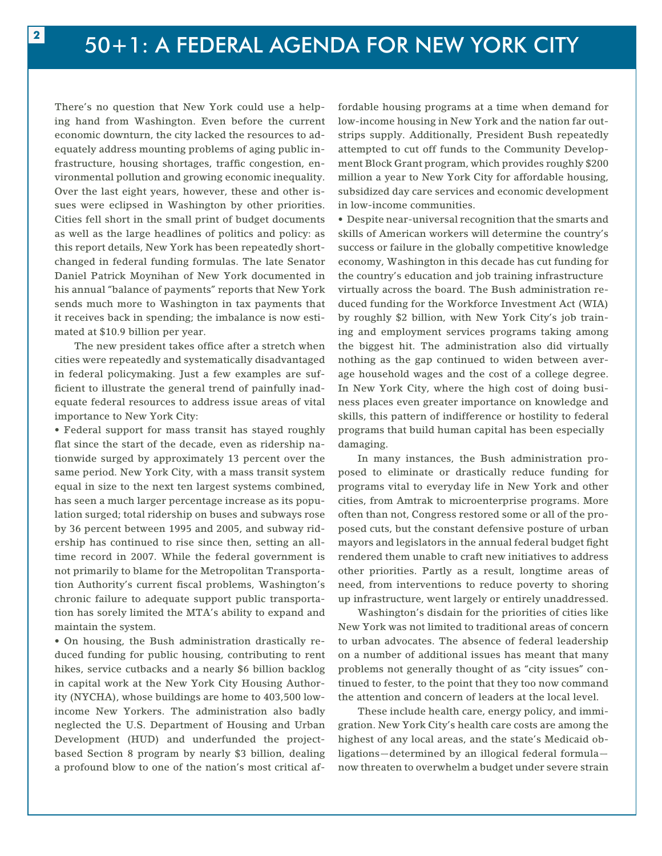There's no question that New York could use a helping hand from Washington. Even before the current economic downturn, the city lacked the resources to adequately address mounting problems of aging public infrastructure, housing shortages, traffic congestion, environmental pollution and growing economic inequality. Over the last eight years, however, these and other issues were eclipsed in Washington by other priorities. Cities fell short in the small print of budget documents as well as the large headlines of politics and policy: as this report details, New York has been repeatedly shortchanged in federal funding formulas. The late Senator Daniel Patrick Moynihan of New York documented in his annual "balance of payments" reports that New York sends much more to Washington in tax payments that it receives back in spending; the imbalance is now estimated at \$10.9 billion per year.

The new president takes office after a stretch when cities were repeatedly and systematically disadvantaged in federal policymaking. Just a few examples are sufficient to illustrate the general trend of painfully inadequate federal resources to address issue areas of vital importance to New York City:

• Federal support for mass transit has stayed roughly flat since the start of the decade, even as ridership nationwide surged by approximately 13 percent over the same period. New York City, with a mass transit system equal in size to the next ten largest systems combined, has seen a much larger percentage increase as its population surged; total ridership on buses and subways rose by 36 percent between 1995 and 2005, and subway ridership has continued to rise since then, setting an alltime record in 2007. While the federal government is not primarily to blame for the Metropolitan Transportation Authority's current fiscal problems, Washington's chronic failure to adequate support public transportation has sorely limited the MTA's ability to expand and maintain the system.

• On housing, the Bush administration drastically reduced funding for public housing, contributing to rent hikes, service cutbacks and a nearly \$6 billion backlog in capital work at the New York City Housing Authority (NYCHA), whose buildings are home to 403,500 lowincome New Yorkers. The administration also badly neglected the U.S. Department of Housing and Urban Development (HUD) and underfunded the projectbased Section 8 program by nearly \$3 billion, dealing a profound blow to one of the nation's most critical affordable housing programs at a time when demand for low-income housing in New York and the nation far outstrips supply. Additionally, President Bush repeatedly attempted to cut off funds to the Community Development Block Grant program, which provides roughly \$200 million a year to New York City for affordable housing, subsidized day care services and economic development in low-income communities.

• Despite near-universal recognition that the smarts and skills of American workers will determine the country's success or failure in the globally competitive knowledge economy, Washington in this decade has cut funding for the country's education and job training infrastructure virtually across the board. The Bush administration reduced funding for the Workforce Investment Act (WIA) by roughly \$2 billion, with New York City's job training and employment services programs taking among the biggest hit. The administration also did virtually nothing as the gap continued to widen between average household wages and the cost of a college degree. In New York City, where the high cost of doing business places even greater importance on knowledge and skills, this pattern of indifference or hostility to federal programs that build human capital has been especially damaging.

In many instances, the Bush administration proposed to eliminate or drastically reduce funding for programs vital to everyday life in New York and other cities, from Amtrak to microenterprise programs. More often than not, Congress restored some or all of the proposed cuts, but the constant defensive posture of urban mayors and legislators in the annual federal budget fight rendered them unable to craft new initiatives to address other priorities. Partly as a result, longtime areas of need, from interventions to reduce poverty to shoring up infrastructure, went largely or entirely unaddressed.

Washington's disdain for the priorities of cities like New York was not limited to traditional areas of concern to urban advocates. The absence of federal leadership on a number of additional issues has meant that many problems not generally thought of as "city issues" continued to fester, to the point that they too now command the attention and concern of leaders at the local level.

These include health care, energy policy, and immigration. New York City's health care costs are among the highest of any local areas, and the state's Medicaid obligations—determined by an illogical federal formula now threaten to overwhelm a budget under severe strain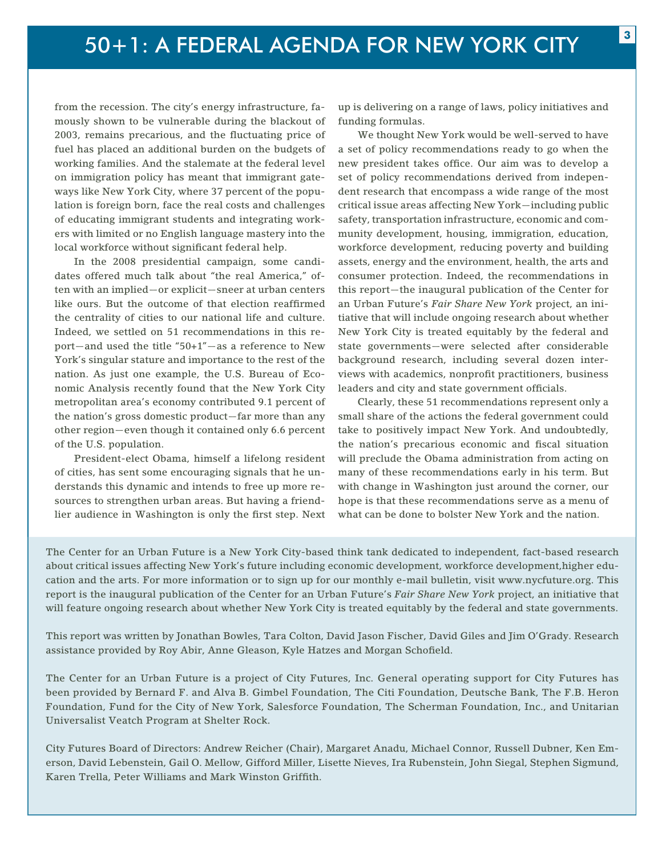from the recession. The city's energy infrastructure, famously shown to be vulnerable during the blackout of 2003, remains precarious, and the fluctuating price of fuel has placed an additional burden on the budgets of working families. And the stalemate at the federal level on immigration policy has meant that immigrant gateways like New York City, where 37 percent of the population is foreign born, face the real costs and challenges of educating immigrant students and integrating workers with limited or no English language mastery into the local workforce without significant federal help.

In the 2008 presidential campaign, some candidates offered much talk about "the real America," often with an implied—or explicit—sneer at urban centers like ours. But the outcome of that election reaffirmed the centrality of cities to our national life and culture. Indeed, we settled on 51 recommendations in this report—and used the title "50+1"—as a reference to New York's singular stature and importance to the rest of the nation. As just one example, the U.S. Bureau of Economic Analysis recently found that the New York City metropolitan area's economy contributed 9.1 percent of the nation's gross domestic product—far more than any other region—even though it contained only 6.6 percent of the U.S. population.

President-elect Obama, himself a lifelong resident of cities, has sent some encouraging signals that he understands this dynamic and intends to free up more resources to strengthen urban areas. But having a friendlier audience in Washington is only the first step. Next up is delivering on a range of laws, policy initiatives and funding formulas.

We thought New York would be well-served to have a set of policy recommendations ready to go when the new president takes office. Our aim was to develop a set of policy recommendations derived from independent research that encompass a wide range of the most critical issue areas affecting New York—including public safety, transportation infrastructure, economic and community development, housing, immigration, education, workforce development, reducing poverty and building assets, energy and the environment, health, the arts and consumer protection. Indeed, the recommendations in this report—the inaugural publication of the Center for an Urban Future's *Fair Share New York* project, an initiative that will include ongoing research about whether New York City is treated equitably by the federal and state governments—were selected after considerable background research, including several dozen interviews with academics, nonprofit practitioners, business leaders and city and state government officials.

Clearly, these 51 recommendations represent only a small share of the actions the federal government could take to positively impact New York. And undoubtedly, the nation's precarious economic and fiscal situation will preclude the Obama administration from acting on many of these recommendations early in his term. But with change in Washington just around the corner, our hope is that these recommendations serve as a menu of what can be done to bolster New York and the nation.

The Center for an Urban Future is a New York City-based think tank dedicated to independent, fact-based research about critical issues affecting New York's future including economic development, workforce development,higher education and the arts. For more information or to sign up for our monthly e-mail bulletin, visi[t www.nycfuture.org.](http://www.nycfuture.org) This report is the inaugural publication of the Center for an Urban Future's *Fair Share New York* project, an initiative that will feature ongoing research about whether New York City is treated equitably by the federal and state governments.

This report was written by Jonathan Bowles, Tara Colton, David Jason Fischer, David Giles and Jim O'Grady. Research assistance provided by Roy Abir, Anne Gleason, Kyle Hatzes and Morgan Schofield.

The Center for an Urban Future is a project of City Futures, Inc. General operating support for City Futures has been provided by Bernard F. and Alva B. Gimbel Foundation, The Citi Foundation, Deutsche Bank, The F.B. Heron Foundation, Fund for the City of New York, Salesforce Foundation, The Scherman Foundation, Inc., and Unitarian Universalist Veatch Program at Shelter Rock.

City Futures Board of Directors: Andrew Reicher (Chair), Margaret Anadu, Michael Connor, Russell Dubner, Ken Emerson, David Lebenstein, Gail O. Mellow, Gifford Miller, Lisette Nieves, Ira Rubenstein, John Siegal, Stephen Sigmund, Karen Trella, Peter Williams and Mark Winston Griffith.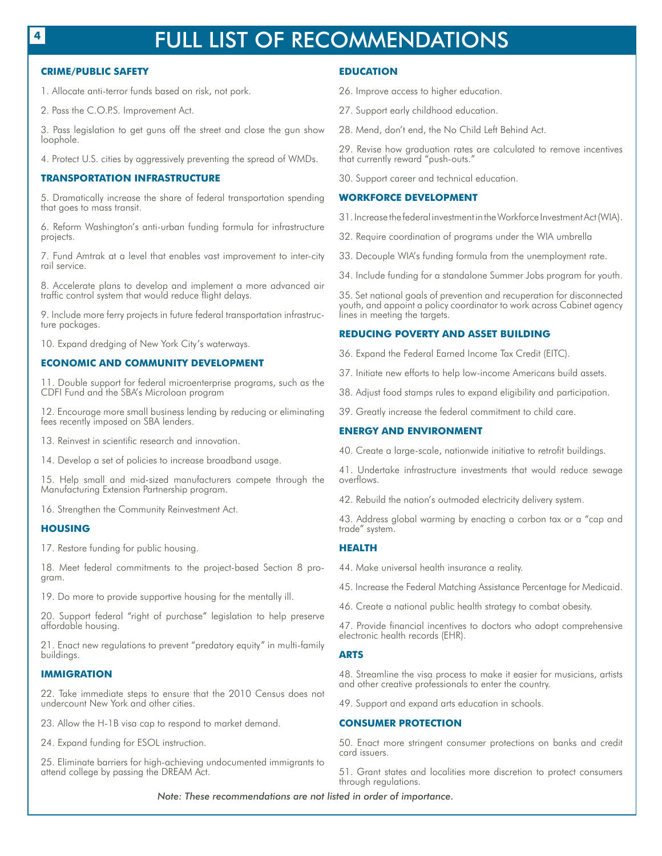#### **CRIME/PUBLIC SAFETY**

1. Allocate anti-terror funds based on risk, not pork.

2. Pass the C.O.P.S. Improvement Act.

3. Pass legislation to get guns off the street and close the gun show loophole.

4. Protect U.S. cities by aggressively preventing the spread of WMDs.

#### **TRANSPORTATION INFRASTRUCTURE**

5. Dramatically increase the share of federal transportation spending that goes to mass transit.

6. Reform Washington's anti-urban funding formula for infrastructure projects.

7. Fund Amtrak at a level that enables vast improvement to inter-city rail service.

8. Accelerate plans to develop and implement a more advanced air traffic control system that would reduce flight delays.

9. Include more ferry projects in future federal transportation infrastructure packages.

10. Expand dredging of New York City's waterways.

#### **ECONOMIC AND COMMUNITY DEVELOPMENT**

11. Double support for federal microenterprise programs, such as the CDFI Fund and the SBA's Microloan program

12. Encourage more small business lending by reducing or eliminating fees recently imposed on SBA lenders.

13. Reinvest in scientific research and innovation.

14. Develop a set of policies to increase broadband usage.

15. Help small and mid-sized manufacturers compete through the Manufacturing Extension Partnership program.

16. Strengthen the Community Reinvestment Act.

#### **HOUSING**

17. Restore funding for public housing.

18. Meet federal commitments to the project-based Section 8 program.

19. Do more to provide supportive housing for the mentally ill.

20. Support federal "right of purchase" legislation to help preserve affordable housing.

21. Enact new regulations to prevent "predatory equity" in multi-family buildings.

#### **IMMIGRATION**

22. Take immediate steps to ensure that the 2010 Census does not undercount New York and other cities.

23. Allow the H-1B visa cap to respond to market demand.

24. Expand funding for ESOL instruction.

25. Eliminate barriers for high-achieving undocumented immigrants to attend college by passing the DREAM Act.

#### **EDUCATION**

- 26. Improve access to higher education.
- 27. Support early childhood education.
- 28. Mend, don't end, the No Child Left Behind Act.
- 29. Revise how graduation rates are calculated to remove incentives that currently reward "push-outs."
- 30. Support career and technical education.

#### **WORKFORCE DEVELOPMENT**

31. Increase the federal investment in the Workforce Investment Act (WIA).

- 32. Require coordination of programs under the WIA umbrella
- 33. Decouple WIA's funding formula from the unemployment rate.

34. Include funding for a standalone Summer Jobs program for youth.

35. Set national goals of prevention and recuperation for disconnected youth, and appoint a policy coordinator to work across Cabinet agency lines in meeting the targets.

#### **REDUCING POVERTY AND ASSET BUILDING**

36. Expand the Federal Earned Income Tax Credit (EITC).

37. Initiate new efforts to help low-income Americans build assets.

38. Adjust food stamps rules to expand eligibility and participation.

39. Greatly increase the federal commitment to child care.

#### **ENERGY AND ENVIRONMENT**

40. Create a large-scale, nationwide initiative to retrofit buildings.

41. Undertake infrastructure investments that would reduce sewage overflows.

42. Rebuild the nation's outmoded electricity delivery system.

43. Address global warming by enacting a carbon tax or a "cap and trade" system.

#### **HEALTH**

- 44. Make universal health insurance a reality.
- 45. Increase the Federal Matching Assistance Percentage for Medicaid.
- 46. Create a national public health strategy to combat obesity.

47. Provide financial incentives to doctors who adopt comprehensive electronic health records (EHR).

#### **ARTS**

48. Streamline the visa process to make it easier for musicians, artists and other creative professionals to enter the country.

49. Support and expand arts education in schools.

#### **CONSUMER PROTECTION**

50. Enact more stringent consumer protections on banks and credit card issuers.

51. Grant states and localities more discretion to protect consumers through regulations.

*Note: These recommendations are not listed in order of importance.*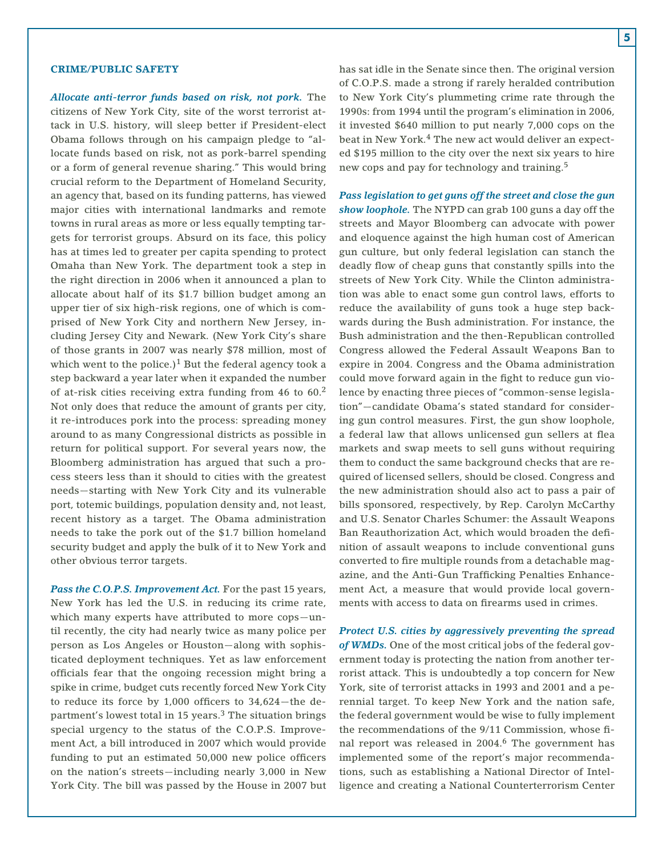#### **CRIME/PUBLIC SAFETY**

*Allocate anti-terror funds based on risk, not pork.* The citizens of New York City, site of the worst terrorist attack in U.S. history, will sleep better if President-elect Obama follows through on his campaign pledge to "allocate funds based on risk, not as pork-barrel spending or a form of general revenue sharing." This would bring crucial reform to the Department of Homeland Security, an agency that, based on its funding patterns, has viewed major cities with international landmarks and remote towns in rural areas as more or less equally tempting targets for terrorist groups. Absurd on its face, this policy has at times led to greater per capita spending to protect Omaha than New York. The department took a step in the right direction in 2006 when it announced a plan to allocate about half of its \$1.7 billion budget among an upper tier of six high-risk regions, one of which is comprised of New York City and northern New Jersey, including Jersey City and Newark. (New York City's share of those grants in 2007 was nearly \$78 million, most of which went to the police.)<sup>1</sup> But the federal agency took a step backward a year later when it expanded the number of at-risk cities receiving extra funding from 46 to  $60<sup>2</sup>$ Not only does that reduce the amount of grants per city, it re-introduces pork into the process: spreading money around to as many Congressional districts as possible in return for political support. For several years now, the Bloomberg administration has argued that such a process steers less than it should to cities with the greatest needs—starting with New York City and its vulnerable port, totemic buildings, population density and, not least, recent history as a target. The Obama administration needs to take the pork out of the \$1.7 billion homeland security budget and apply the bulk of it to New York and other obvious terror targets.

*Pass the C.O.P.S. Improvement Act.* For the past 15 years, New York has led the U.S. in reducing its crime rate, which many experts have attributed to more cops—until recently, the city had nearly twice as many police per person as Los Angeles or Houston—along with sophisticated deployment techniques. Yet as law enforcement officials fear that the ongoing recession might bring a spike in crime, budget cuts recently forced New York City to reduce its force by 1,000 officers to 34,624—the department's lowest total in 15 years.<sup>3</sup> The situation brings special urgency to the status of the C.O.P.S. Improvement Act, a bill introduced in 2007 which would provide funding to put an estimated 50,000 new police officers on the nation's streets—including nearly 3,000 in New York City. The bill was passed by the House in 2007 but

has sat idle in the Senate since then. The original version of C.O.P.S. made a strong if rarely heralded contribution to New York City's plummeting crime rate through the 1990s: from 1994 until the program's elimination in 2006, it invested \$640 million to put nearly 7,000 cops on the beat in New York.4 The new act would deliver an expected \$195 million to the city over the next six years to hire new cops and pay for technology and training.<sup>5</sup>

*Pass legislation to get guns off the street and close the gun show loophole.* The NYPD can grab 100 guns a day off the streets and Mayor Bloomberg can advocate with power and eloquence against the high human cost of American gun culture, but only federal legislation can stanch the deadly flow of cheap guns that constantly spills into the streets of New York City. While the Clinton administration was able to enact some gun control laws, efforts to reduce the availability of guns took a huge step backwards during the Bush administration. For instance, the Bush administration and the then-Republican controlled Congress allowed the Federal Assault Weapons Ban to expire in 2004. Congress and the Obama administration could move forward again in the fight to reduce gun violence by enacting three pieces of "common-sense legislation"—candidate Obama's stated standard for considering gun control measures. First, the gun show loophole, a federal law that allows unlicensed gun sellers at flea markets and swap meets to sell guns without requiring them to conduct the same background checks that are required of licensed sellers, should be closed. Congress and the new administration should also act to pass a pair of bills sponsored, respectively, by Rep. Carolyn McCarthy and U.S. Senator Charles Schumer: the Assault Weapons Ban Reauthorization Act, which would broaden the definition of assault weapons to include conventional guns converted to fire multiple rounds from a detachable magazine, and the Anti-Gun Trafficking Penalties Enhancement Act, a measure that would provide local governments with access to data on firearms used in crimes.

*Protect U.S. cities by aggressively preventing the spread of WMDs.* One of the most critical jobs of the federal government today is protecting the nation from another terrorist attack. This is undoubtedly a top concern for New York, site of terrorist attacks in 1993 and 2001 and a perennial target. To keep New York and the nation safe, the federal government would be wise to fully implement the recommendations of the 9/11 Commission, whose final report was released in 2004.<sup>6</sup> The government has implemented some of the report's major recommendations, such as establishing a National Director of Intelligence and creating a National Counterterrorism Center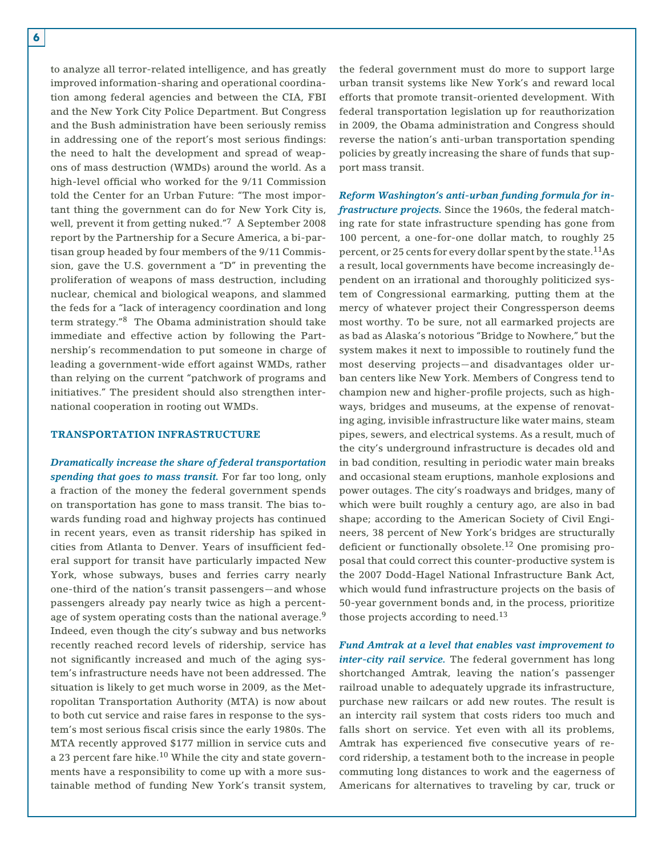to analyze all terror-related intelligence, and has greatly improved information-sharing and operational coordination among federal agencies and between the CIA, FBI and the New York City Police Department. But Congress and the Bush administration have been seriously remiss in addressing one of the report's most serious findings: the need to halt the development and spread of weapons of mass destruction (WMDs) around the world. As a high-level official who worked for the 9/11 Commission told the Center for an Urban Future: "The most important thing the government can do for New York City is, well, prevent it from getting nuked."7 A September 2008 report by the Partnership for a Secure America, a bi-partisan group headed by four members of the 9/11 Commission, gave the U.S. government a "D" in preventing the proliferation of weapons of mass destruction, including nuclear, chemical and biological weapons, and slammed the feds for a "lack of interagency coordination and long term strategy."8 The Obama administration should take immediate and effective action by following the Partnership's recommendation to put someone in charge of leading a government-wide effort against WMDs, rather than relying on the current "patchwork of programs and initiatives." The president should also strengthen international cooperation in rooting out WMDs.

#### **TRANSPORTATION INFRASTRUCTURE**

*Dramatically increase the share of federal transportation spending that goes to mass transit.* For far too long, only a fraction of the money the federal government spends on transportation has gone to mass transit. The bias towards funding road and highway projects has continued in recent years, even as transit ridership has spiked in cities from Atlanta to Denver. Years of insufficient federal support for transit have particularly impacted New York, whose subways, buses and ferries carry nearly one-third of the nation's transit passengers—and whose passengers already pay nearly twice as high a percentage of system operating costs than the national average.<sup>9</sup> Indeed, even though the city's subway and bus networks recently reached record levels of ridership, service has not significantly increased and much of the aging system's infrastructure needs have not been addressed. The situation is likely to get much worse in 2009, as the Metropolitan Transportation Authority (MTA) is now about to both cut service and raise fares in response to the system's most serious fiscal crisis since the early 1980s. The MTA recently approved \$177 million in service cuts and a 23 percent fare hike.<sup>10</sup> While the city and state governments have a responsibility to come up with a more sustainable method of funding New York's transit system,

the federal government must do more to support large urban transit systems like New York's and reward local efforts that promote transit-oriented development. With federal transportation legislation up for reauthorization in 2009, the Obama administration and Congress should reverse the nation's anti-urban transportation spending policies by greatly increasing the share of funds that support mass transit.

*Reform Washington's anti-urban funding formula for infrastructure projects.* Since the 1960s, the federal matching rate for state infrastructure spending has gone from 100 percent, a one-for-one dollar match, to roughly 25 percent, or 25 cents for every dollar spent by the state.<sup>11</sup>As a result, local governments have become increasingly dependent on an irrational and thoroughly politicized system of Congressional earmarking, putting them at the mercy of whatever project their Congressperson deems most worthy. To be sure, not all earmarked projects are as bad as Alaska's notorious "Bridge to Nowhere," but the system makes it next to impossible to routinely fund the most deserving projects—and disadvantages older urban centers like New York. Members of Congress tend to champion new and higher-profile projects, such as highways, bridges and museums, at the expense of renovating aging, invisible infrastructure like water mains, steam pipes, sewers, and electrical systems. As a result, much of the city's underground infrastructure is decades old and in bad condition, resulting in periodic water main breaks and occasional steam eruptions, manhole explosions and power outages. The city's roadways and bridges, many of which were built roughly a century ago, are also in bad shape; according to the American Society of Civil Engineers, 38 percent of New York's bridges are structurally deficient or functionally obsolete.<sup>12</sup> One promising proposal that could correct this counter-productive system is the 2007 Dodd-Hagel National Infrastructure Bank Act, which would fund infrastructure projects on the basis of 50-year government bonds and, in the process, prioritize those projects according to need.<sup>13</sup>

*Fund Amtrak at a level that enables vast improvement to inter-city rail service.* The federal government has long shortchanged Amtrak, leaving the nation's passenger railroad unable to adequately upgrade its infrastructure, purchase new railcars or add new routes. The result is an intercity rail system that costs riders too much and falls short on service. Yet even with all its problems, Amtrak has experienced five consecutive years of record ridership, a testament both to the increase in people commuting long distances to work and the eagerness of Americans for alternatives to traveling by car, truck or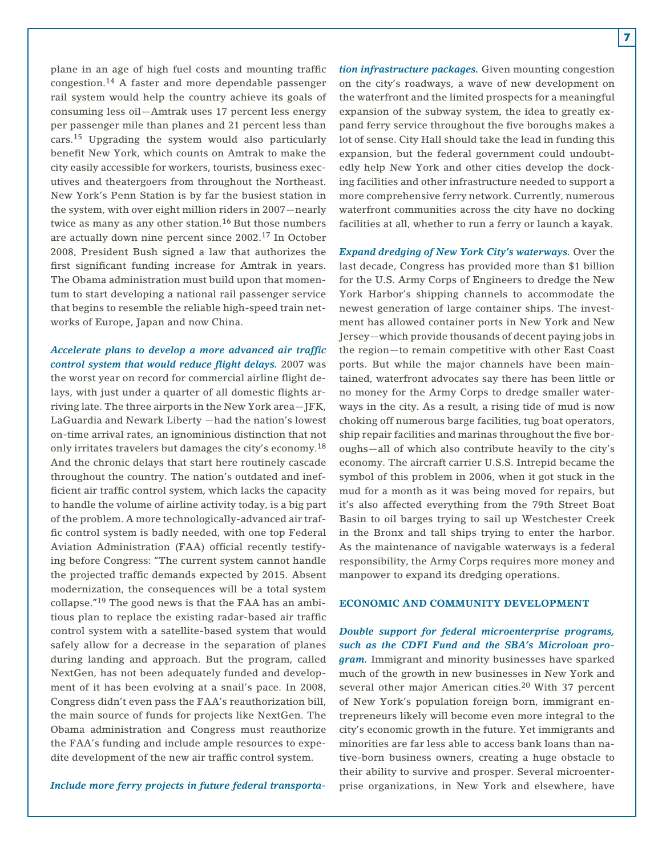plane in an age of high fuel costs and mounting traffic congestion.14 A faster and more dependable passenger rail system would help the country achieve its goals of consuming less oil—Amtrak uses 17 percent less energy per passenger mile than planes and 21 percent less than cars.15 Upgrading the system would also particularly benefit New York, which counts on Amtrak to make the city easily accessible for workers, tourists, business executives and theatergoers from throughout the Northeast. New York's Penn Station is by far the busiest station in the system, with over eight million riders in 2007—nearly twice as many as any other station.<sup>16</sup> But those numbers are actually down nine percent since 2002.<sup>17</sup> In October 2008, President Bush signed a law that authorizes the first significant funding increase for Amtrak in years. The Obama administration must build upon that momentum to start developing a national rail passenger service that begins to resemble the reliable high-speed train networks of Europe, Japan and now China.

*Accelerate plans to develop a more advanced air traffic control system that would reduce flight delays.* 2007 was the worst year on record for commercial airline flight delays, with just under a quarter of all domestic flights arriving late. The three airports in the New York area—JFK, LaGuardia and Newark Liberty —had the nation's lowest on-time arrival rates, an ignominious distinction that not only irritates travelers but damages the city's economy.<sup>18</sup> And the chronic delays that start here routinely cascade throughout the country. The nation's outdated and inefficient air traffic control system, which lacks the capacity to handle the volume of airline activity today, is a big part of the problem. A more technologically-advanced air traffic control system is badly needed, with one top Federal Aviation Administration (FAA) official recently testifying before Congress: "The current system cannot handle the projected traffic demands expected by 2015. Absent modernization, the consequences will be a total system collapse."19 The good news is that the FAA has an ambitious plan to replace the existing radar-based air traffic control system with a satellite-based system that would safely allow for a decrease in the separation of planes during landing and approach. But the program, called NextGen, has not been adequately funded and development of it has been evolving at a snail's pace. In 2008, Congress didn't even pass the FAA's reauthorization bill, the main source of funds for projects like NextGen. The Obama administration and Congress must reauthorize the FAA's funding and include ample resources to expedite development of the new air traffic control system.

*tion infrastructure packages.* Given mounting congestion on the city's roadways, a wave of new development on the waterfront and the limited prospects for a meaningful expansion of the subway system, the idea to greatly expand ferry service throughout the five boroughs makes a lot of sense. City Hall should take the lead in funding this expansion, but the federal government could undoubtedly help New York and other cities develop the docking facilities and other infrastructure needed to support a more comprehensive ferry network. Currently, numerous waterfront communities across the city have no docking facilities at all, whether to run a ferry or launch a kayak.

*Expand dredging of New York City's waterways.* Over the last decade, Congress has provided more than \$1 billion for the U.S. Army Corps of Engineers to dredge the New York Harbor's shipping channels to accommodate the newest generation of large container ships. The investment has allowed container ports in New York and New Jersey—which provide thousands of decent paying jobs in the region—to remain competitive with other East Coast ports. But while the major channels have been maintained, waterfront advocates say there has been little or no money for the Army Corps to dredge smaller waterways in the city. As a result, a rising tide of mud is now choking off numerous barge facilities, tug boat operators, ship repair facilities and marinas throughout the five boroughs—all of which also contribute heavily to the city's economy. The aircraft carrier U.S.S. Intrepid became the symbol of this problem in 2006, when it got stuck in the mud for a month as it was being moved for repairs, but it's also affected everything from the 79th Street Boat Basin to oil barges trying to sail up Westchester Creek in the Bronx and tall ships trying to enter the harbor. As the maintenance of navigable waterways is a federal responsibility, the Army Corps requires more money and manpower to expand its dredging operations.

#### **ECONOMIC AND COMMUNITY DEVELOPMENT**

*Double support for federal microenterprise programs, such as the CDFI Fund and the SBA's Microloan program.* Immigrant and minority businesses have sparked much of the growth in new businesses in New York and several other major American cities.<sup>20</sup> With 37 percent of New York's population foreign born, immigrant entrepreneurs likely will become even more integral to the city's economic growth in the future. Yet immigrants and minorities are far less able to access bank loans than native-born business owners, creating a huge obstacle to their ability to survive and prosper. Several microenterprise organizations, in New York and elsewhere, have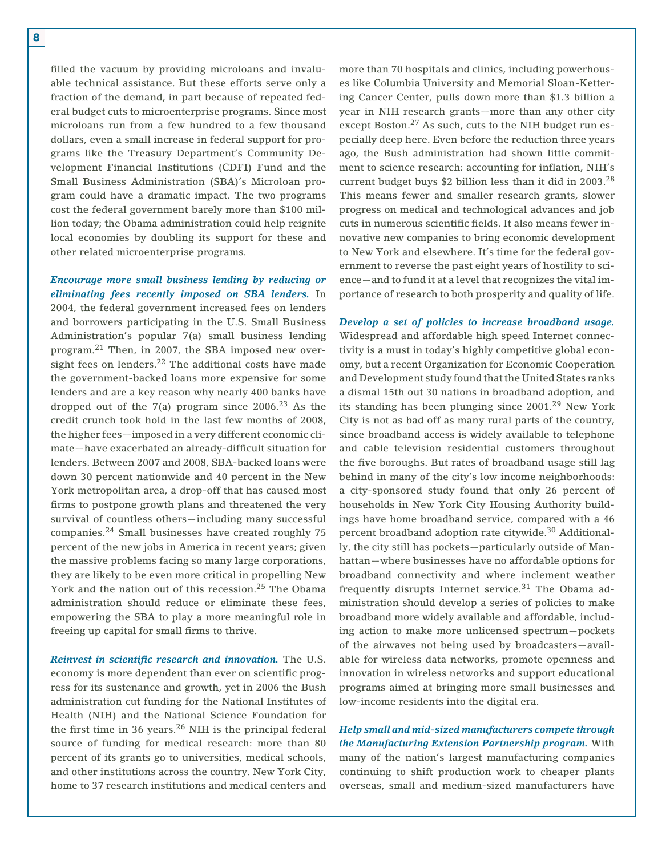filled the vacuum by providing microloans and invaluable technical assistance. But these efforts serve only a fraction of the demand, in part because of repeated federal budget cuts to microenterprise programs. Since most microloans run from a few hundred to a few thousand dollars, even a small increase in federal support for programs like the Treasury Department's Community Development Financial Institutions (CDFI) Fund and the Small Business Administration (SBA)'s Microloan program could have a dramatic impact. The two programs cost the federal government barely more than \$100 million today; the Obama administration could help reignite local economies by doubling its support for these and other related microenterprise programs.

*Encourage more small business lending by reducing or eliminating fees recently imposed on SBA lenders.* In 2004, the federal government increased fees on lenders and borrowers participating in the U.S. Small Business Administration's popular 7(a) small business lending program.21 Then, in 2007, the SBA imposed new oversight fees on lenders.<sup>22</sup> The additional costs have made the government-backed loans more expensive for some lenders and are a key reason why nearly 400 banks have dropped out of the 7(a) program since  $2006<sup>23</sup>$  As the credit crunch took hold in the last few months of 2008, the higher fees—imposed in a very different economic climate—have exacerbated an already-difficult situation for lenders. Between 2007 and 2008, SBA-backed loans were down 30 percent nationwide and 40 percent in the New York metropolitan area, a drop-off that has caused most firms to postpone growth plans and threatened the very survival of countless others—including many successful companies.24 Small businesses have created roughly 75 percent of the new jobs in America in recent years; given the massive problems facing so many large corporations, they are likely to be even more critical in propelling New York and the nation out of this recession.<sup>25</sup> The Obama administration should reduce or eliminate these fees, empowering the SBA to play a more meaningful role in freeing up capital for small firms to thrive.

*Reinvest in scientific research and innovation.* The U.S. economy is more dependent than ever on scientific progress for its sustenance and growth, yet in 2006 the Bush administration cut funding for the National Institutes of Health (NIH) and the National Science Foundation for the first time in 36 years. $26$  NIH is the principal federal source of funding for medical research: more than 80 percent of its grants go to universities, medical schools, and other institutions across the country. New York City, home to 37 research institutions and medical centers and

more than 70 hospitals and clinics, including powerhouses like Columbia University and Memorial Sloan-Kettering Cancer Center, pulls down more than \$1.3 billion a year in NIH research grants—more than any other city except Boston.<sup>27</sup> As such, cuts to the NIH budget run especially deep here. Even before the reduction three years ago, the Bush administration had shown little commitment to science research: accounting for inflation, NIH's current budget buys \$2 billion less than it did in  $2003.^{28}$ This means fewer and smaller research grants, slower progress on medical and technological advances and job cuts in numerous scientific fields. It also means fewer innovative new companies to bring economic development to New York and elsewhere. It's time for the federal government to reverse the past eight years of hostility to science—and to fund it at a level that recognizes the vital importance of research to both prosperity and quality of life.

*Develop a set of policies to increase broadband usage.* Widespread and affordable high speed Internet connectivity is a must in today's highly competitive global economy, but a recent Organization for Economic Cooperation and Development study found that the United States ranks a dismal 15th out 30 nations in broadband adoption, and its standing has been plunging since  $2001<sup>29</sup>$  New York City is not as bad off as many rural parts of the country, since broadband access is widely available to telephone and cable television residential customers throughout the five boroughs. But rates of broadband usage still lag behind in many of the city's low income neighborhoods: a city-sponsored study found that only 26 percent of households in New York City Housing Authority buildings have home broadband service, compared with a 46 percent broadband adoption rate citywide.<sup>30</sup> Additionally, the city still has pockets—particularly outside of Manhattan—where businesses have no affordable options for broadband connectivity and where inclement weather frequently disrupts Internet service.<sup>31</sup> The Obama administration should develop a series of policies to make broadband more widely available and affordable, including action to make more unlicensed spectrum—pockets of the airwaves not being used by broadcasters—available for wireless data networks, promote openness and innovation in wireless networks and support educational programs aimed at bringing more small businesses and low-income residents into the digital era.

*Help small and mid-sized manufacturers compete through the Manufacturing Extension Partnership program.* With many of the nation's largest manufacturing companies continuing to shift production work to cheaper plants overseas, small and medium-sized manufacturers have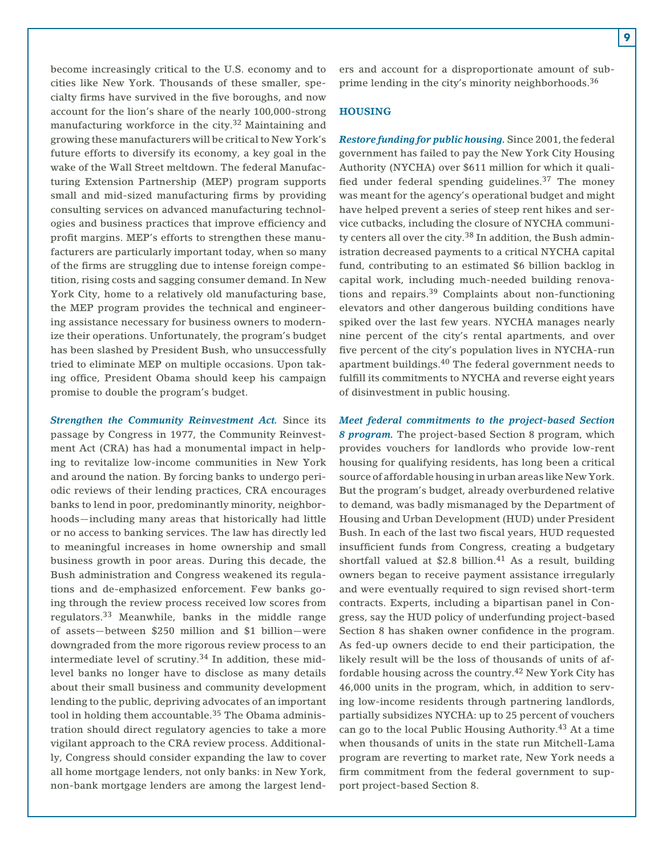become increasingly critical to the U.S. economy and to cities like New York. Thousands of these smaller, specialty firms have survived in the five boroughs, and now account for the lion's share of the nearly 100,000-strong manufacturing workforce in the city.<sup>32</sup> Maintaining and growing these manufacturers will be critical to New York's future efforts to diversify its economy, a key goal in the wake of the Wall Street meltdown. The federal Manufacturing Extension Partnership (MEP) program supports small and mid-sized manufacturing firms by providing consulting services on advanced manufacturing technologies and business practices that improve efficiency and profit margins. MEP's efforts to strengthen these manufacturers are particularly important today, when so many of the firms are struggling due to intense foreign competition, rising costs and sagging consumer demand. In New York City, home to a relatively old manufacturing base, the MEP program provides the technical and engineering assistance necessary for business owners to modernize their operations. Unfortunately, the program's budget has been slashed by President Bush, who unsuccessfully tried to eliminate MEP on multiple occasions. Upon taking office, President Obama should keep his campaign promise to double the program's budget.

*Strengthen the Community Reinvestment Act.* Since its passage by Congress in 1977, the Community Reinvestment Act (CRA) has had a monumental impact in helping to revitalize low-income communities in New York and around the nation. By forcing banks to undergo periodic reviews of their lending practices, CRA encourages banks to lend in poor, predominantly minority, neighborhoods—including many areas that historically had little or no access to banking services. The law has directly led to meaningful increases in home ownership and small business growth in poor areas. During this decade, the Bush administration and Congress weakened its regulations and de-emphasized enforcement. Few banks going through the review process received low scores from regulators.33 Meanwhile, banks in the middle range of assets—between \$250 million and \$1 billion—were downgraded from the more rigorous review process to an intermediate level of scrutiny. $34$  In addition, these midlevel banks no longer have to disclose as many details about their small business and community development lending to the public, depriving advocates of an important tool in holding them accountable.<sup>35</sup> The Obama administration should direct regulatory agencies to take a more vigilant approach to the CRA review process. Additionally, Congress should consider expanding the law to cover all home mortgage lenders, not only banks: in New York, non-bank mortgage lenders are among the largest lenders and account for a disproportionate amount of subprime lending in the city's minority neighborhoods.<sup>36</sup>

#### **HOUSING**

*Restore funding for public housing.* Since 2001, the federal government has failed to pay the New York City Housing Authority (NYCHA) over \$611 million for which it qualified under federal spending guidelines. $37$  The money was meant for the agency's operational budget and might have helped prevent a series of steep rent hikes and service cutbacks, including the closure of NYCHA community centers all over the city.<sup>38</sup> In addition, the Bush administration decreased payments to a critical NYCHA capital fund, contributing to an estimated \$6 billion backlog in capital work, including much-needed building renovations and repairs.39 Complaints about non-functioning elevators and other dangerous building conditions have spiked over the last few years. NYCHA manages nearly nine percent of the city's rental apartments, and over five percent of the city's population lives in NYCHA-run apartment buildings.<sup>40</sup> The federal government needs to fulfill its commitments to NYCHA and reverse eight years of disinvestment in public housing.

*Meet federal commitments to the project-based Section 8 program.* The project-based Section 8 program, which provides vouchers for landlords who provide low-rent housing for qualifying residents, has long been a critical source of affordable housing in urban areas like New York. But the program's budget, already overburdened relative to demand, was badly mismanaged by the Department of Housing and Urban Development (HUD) under President Bush. In each of the last two fiscal years, HUD requested insufficient funds from Congress, creating a budgetary shortfall valued at \$2.8 billion.<sup>41</sup> As a result, building owners began to receive payment assistance irregularly and were eventually required to sign revised short-term contracts. Experts, including a bipartisan panel in Congress, say the HUD policy of underfunding project-based Section 8 has shaken owner confidence in the program. As fed-up owners decide to end their participation, the likely result will be the loss of thousands of units of affordable housing across the country.42 New York City has 46,000 units in the program, which, in addition to serving low-income residents through partnering landlords, partially subsidizes NYCHA: up to 25 percent of vouchers can go to the local Public Housing Authority.<sup>43</sup> At a time when thousands of units in the state run Mitchell-Lama program are reverting to market rate, New York needs a firm commitment from the federal government to support project-based Section 8.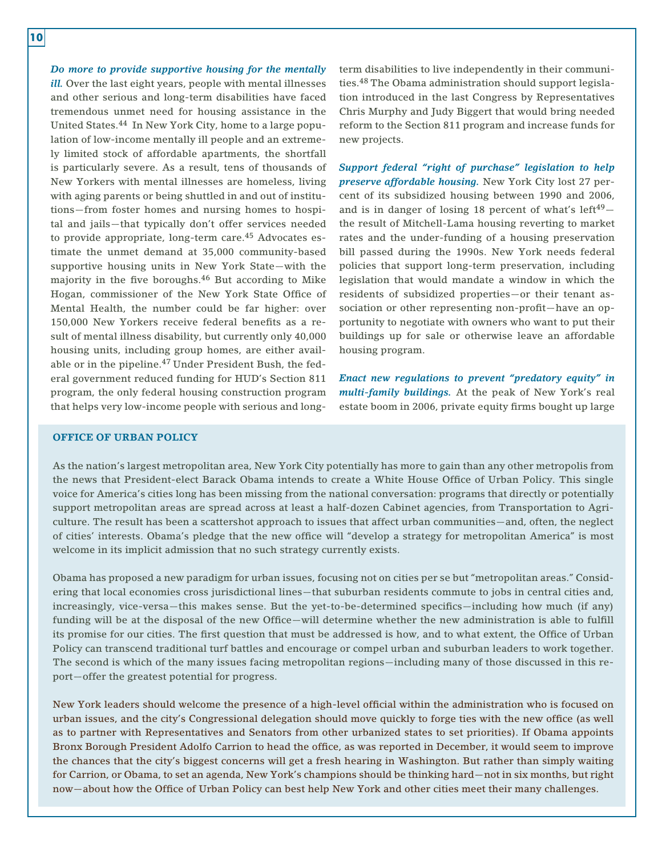*Do more to provide supportive housing for the mentally ill.* Over the last eight years, people with mental illnesses and other serious and long-term disabilities have faced tremendous unmet need for housing assistance in the United States.44 In New York City, home to a large population of low-income mentally ill people and an extremely limited stock of affordable apartments, the shortfall is particularly severe. As a result, tens of thousands of New Yorkers with mental illnesses are homeless, living with aging parents or being shuttled in and out of institutions—from foster homes and nursing homes to hospital and jails—that typically don't offer services needed to provide appropriate, long-term care.<sup>45</sup> Advocates estimate the unmet demand at 35,000 community-based supportive housing units in New York State—with the majority in the five boroughs.46 But according to Mike Hogan, commissioner of the New York State Office of Mental Health, the number could be far higher: over 150,000 New Yorkers receive federal benefits as a result of mental illness disability, but currently only 40,000 housing units, including group homes, are either available or in the pipeline.<sup>47</sup> Under President Bush, the federal government reduced funding for HUD's Section 811 program, the only federal housing construction program that helps very low-income people with serious and longterm disabilities to live independently in their communities.48 The Obama administration should support legislation introduced in the last Congress by Representatives Chris Murphy and Judy Biggert that would bring needed reform to the Section 811 program and increase funds for new projects.

*Support federal "right of purchase" legislation to help preserve affordable housing.* New York City lost 27 percent of its subsidized housing between 1990 and 2006, and is in danger of losing 18 percent of what's  $left<sup>49</sup>$ the result of Mitchell-Lama housing reverting to market rates and the under-funding of a housing preservation bill passed during the 1990s. New York needs federal policies that support long-term preservation, including legislation that would mandate a window in which the residents of subsidized properties—or their tenant association or other representing non-profit—have an opportunity to negotiate with owners who want to put their buildings up for sale or otherwise leave an affordable housing program.

*Enact new regulations to prevent "predatory equity" in multi-family buildings.* At the peak of New York's real estate boom in 2006, private equity firms bought up large

#### **OFFICE OF URBAN POLICY**

As the nation's largest metropolitan area, New York City potentially has more to gain than any other metropolis from the news that President-elect Barack Obama intends to create a White House Office of Urban Policy. This single voice for America's cities long has been missing from the national conversation: programs that directly or potentially support metropolitan areas are spread across at least a half-dozen Cabinet agencies, from Transportation to Agriculture. The result has been a scattershot approach to issues that affect urban communities—and, often, the neglect of cities' interests. Obama's pledge that the new office will "develop a strategy for metropolitan America" is most welcome in its implicit admission that no such strategy currently exists.

Obama has proposed a new paradigm for urban issues, focusing not on cities per se but "metropolitan areas." Considering that local economies cross jurisdictional lines—that suburban residents commute to jobs in central cities and, increasingly, vice-versa—this makes sense. But the yet-to-be-determined specifics—including how much (if any) funding will be at the disposal of the new Office—will determine whether the new administration is able to fulfill its promise for our cities. The first question that must be addressed is how, and to what extent, the Office of Urban Policy can transcend traditional turf battles and encourage or compel urban and suburban leaders to work together. The second is which of the many issues facing metropolitan regions—including many of those discussed in this report—offer the greatest potential for progress.

New York leaders should welcome the presence of a high-level official within the administration who is focused on urban issues, and the city's Congressional delegation should move quickly to forge ties with the new office (as well as to partner with Representatives and Senators from other urbanized states to set priorities). If Obama appoints Bronx Borough President Adolfo Carrion to head the office, as was reported in December, it would seem to improve the chances that the city's biggest concerns will get a fresh hearing in Washington. But rather than simply waiting for Carrion, or Obama, to set an agenda, New York's champions should be thinking hard—not in six months, but right now—about how the Office of Urban Policy can best help New York and other cities meet their many challenges.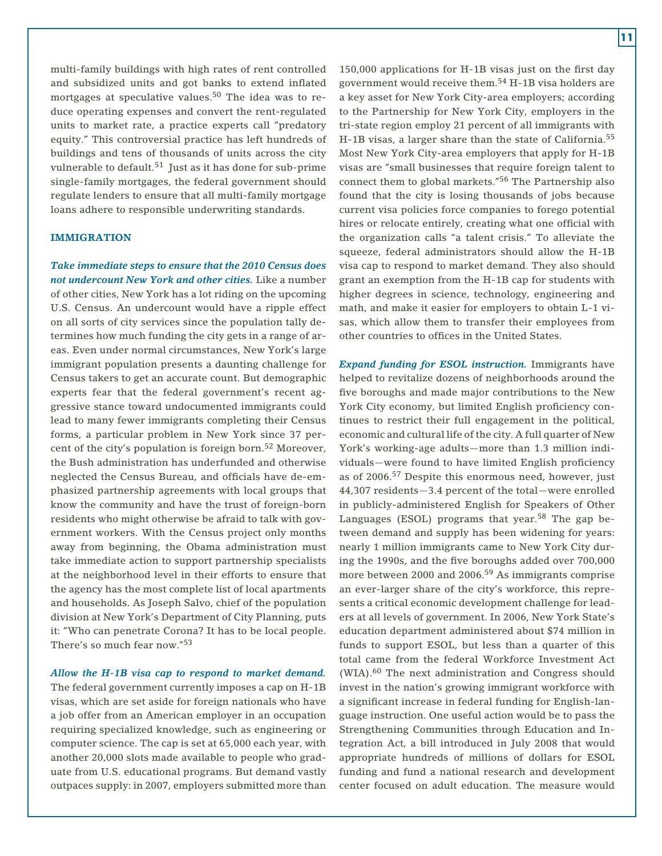multi-family buildings with high rates of rent controlled and subsidized units and got banks to extend inflated mortgages at speculative values.<sup>50</sup> The idea was to reduce operating expenses and convert the rent-regulated units to market rate, a practice experts call "predatory equity." This controversial practice has left hundreds of buildings and tens of thousands of units across the city vulnerable to default.<sup>51</sup> Just as it has done for sub-prime single-family mortgages, the federal government should regulate lenders to ensure that all multi-family mortgage loans adhere to responsible underwriting standards.

#### **IMMIGRATION**

*Take immediate steps to ensure that the 2010 Census does not undercount New York and other cities.* Like a number of other cities, New York has a lot riding on the upcoming U.S. Census. An undercount would have a ripple effect on all sorts of city services since the population tally determines how much funding the city gets in a range of areas. Even under normal circumstances, New York's large immigrant population presents a daunting challenge for Census takers to get an accurate count. But demographic experts fear that the federal government's recent aggressive stance toward undocumented immigrants could lead to many fewer immigrants completing their Census forms, a particular problem in New York since 37 percent of the city's population is foreign born.<sup>52</sup> Moreover, the Bush administration has underfunded and otherwise neglected the Census Bureau, and officials have de-emphasized partnership agreements with local groups that know the community and have the trust of foreign-born residents who might otherwise be afraid to talk with government workers. With the Census project only months away from beginning, the Obama administration must take immediate action to support partnership specialists at the neighborhood level in their efforts to ensure that the agency has the most complete list of local apartments and households. As Joseph Salvo, chief of the population division at New York's Department of City Planning, puts it: "Who can penetrate Corona? It has to be local people. There's so much fear now."53

#### *Allow the H-1B visa cap to respond to market demand.*

The federal government currently imposes a cap on H-1B visas, which are set aside for foreign nationals who have a job offer from an American employer in an occupation requiring specialized knowledge, such as engineering or computer science. The cap is set at 65,000 each year, with another 20,000 slots made available to people who graduate from U.S. educational programs. But demand vastly outpaces supply: in 2007, employers submitted more than

150,000 applications for H-1B visas just on the first day government would receive them.<sup>54</sup> H-1B visa holders are a key asset for New York City-area employers; according to the Partnership for New York City, employers in the tri-state region employ 21 percent of all immigrants with H-1B visas, a larger share than the state of California.<sup>55</sup> Most New York City-area employers that apply for H-1B visas are "small businesses that require foreign talent to connect them to global markets."56 The Partnership also found that the city is losing thousands of jobs because current visa policies force companies to forego potential hires or relocate entirely, creating what one official with the organization calls "a talent crisis." To alleviate the squeeze, federal administrators should allow the H-1B visa cap to respond to market demand. They also should grant an exemption from the H-1B cap for students with higher degrees in science, technology, engineering and math, and make it easier for employers to obtain L-1 visas, which allow them to transfer their employees from other countries to offices in the United States.

*Expand funding for ESOL instruction.* Immigrants have helped to revitalize dozens of neighborhoods around the five boroughs and made major contributions to the New York City economy, but limited English proficiency continues to restrict their full engagement in the political, economic and cultural life of the city. A full quarter of New York's working-age adults—more than 1.3 million individuals—were found to have limited English proficiency as of 2006.<sup>57</sup> Despite this enormous need, however, just 44,307 residents—3.4 percent of the total—were enrolled in publicly-administered English for Speakers of Other Languages (ESOL) programs that year.<sup>58</sup> The gap between demand and supply has been widening for years: nearly 1 million immigrants came to New York City during the 1990s, and the five boroughs added over 700,000 more between 2000 and 2006.<sup>59</sup> As immigrants comprise an ever-larger share of the city's workforce, this represents a critical economic development challenge for leaders at all levels of government. In 2006, New York State's education department administered about \$74 million in funds to support ESOL, but less than a quarter of this total came from the federal Workforce Investment Act (WIA).60 The next administration and Congress should invest in the nation's growing immigrant workforce with a significant increase in federal funding for English-language instruction. One useful action would be to pass the Strengthening Communities through Education and Integration Act, a bill introduced in July 2008 that would appropriate hundreds of millions of dollars for ESOL funding and fund a national research and development center focused on adult education. The measure would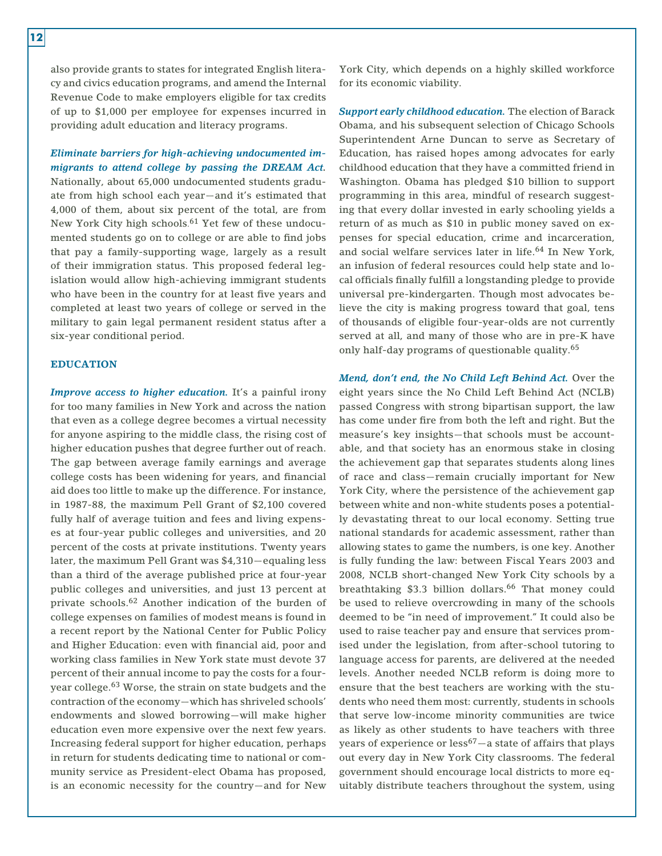also provide grants to states for integrated English literacy and civics education programs, and amend the Internal Revenue Code to make employers eligible for tax credits of up to \$1,000 per employee for expenses incurred in providing adult education and literacy programs.

#### *Eliminate barriers for high-achieving undocumented immigrants to attend college by passing the DREAM Act.*

Nationally, about 65,000 undocumented students graduate from high school each year—and it's estimated that 4,000 of them, about six percent of the total, are from New York City high schools. 61 Yet few of these undocumented students go on to college or are able to find jobs that pay a family-supporting wage, largely as a result of their immigration status. This proposed federal legislation would allow high-achieving immigrant students who have been in the country for at least five years and completed at least two years of college or served in the military to gain legal permanent resident status after a six-year conditional period.

#### **EDUCATION**

*Improve access to higher education.* It's a painful irony for too many families in New York and across the nation that even as a college degree becomes a virtual necessity for anyone aspiring to the middle class, the rising cost of higher education pushes that degree further out of reach. The gap between average family earnings and average college costs has been widening for years, and financial aid does too little to make up the difference. For instance, in 1987-88, the maximum Pell Grant of \$2,100 covered fully half of average tuition and fees and living expenses at four-year public colleges and universities, and 20 percent of the costs at private institutions. Twenty years later, the maximum Pell Grant was \$4,310—equaling less than a third of the average published price at four-year public colleges and universities, and just 13 percent at private schools.62 Another indication of the burden of college expenses on families of modest means is found in a recent report by the National Center for Public Policy and Higher Education: even with financial aid, poor and working class families in New York state must devote 37 percent of their annual income to pay the costs for a fouryear college.<sup>63</sup> Worse, the strain on state budgets and the contraction of the economy—which has shriveled schools' endowments and slowed borrowing—will make higher education even more expensive over the next few years. Increasing federal support for higher education, perhaps in return for students dedicating time to national or community service as President-elect Obama has proposed, is an economic necessity for the country—and for New

York City, which depends on a highly skilled workforce for its economic viability.

*Support early childhood education.* The election of Barack Obama, and his subsequent selection of Chicago Schools Superintendent Arne Duncan to serve as Secretary of Education, has raised hopes among advocates for early childhood education that they have a committed friend in Washington. Obama has pledged \$10 billion to support programming in this area, mindful of research suggesting that every dollar invested in early schooling yields a return of as much as \$10 in public money saved on expenses for special education, crime and incarceration, and social welfare services later in life.64 In New York, an infusion of federal resources could help state and local officials finally fulfill a longstanding pledge to provide universal pre-kindergarten. Though most advocates believe the city is making progress toward that goal, tens of thousands of eligible four-year-olds are not currently served at all, and many of those who are in pre-K have only half-day programs of questionable quality.<sup>65</sup>

*Mend, don't end, the No Child Left Behind Act.* Over the eight years since the No Child Left Behind Act (NCLB) passed Congress with strong bipartisan support, the law has come under fire from both the left and right. But the measure's key insights—that schools must be accountable, and that society has an enormous stake in closing the achievement gap that separates students along lines of race and class—remain crucially important for New York City, where the persistence of the achievement gap between white and non-white students poses a potentially devastating threat to our local economy. Setting true national standards for academic assessment, rather than allowing states to game the numbers, is one key. Another is fully funding the law: between Fiscal Years 2003 and 2008, NCLB short-changed New York City schools by a breathtaking \$3.3 billion dollars.<sup>66</sup> That money could be used to relieve overcrowding in many of the schools deemed to be "in need of improvement." It could also be used to raise teacher pay and ensure that services promised under the legislation, from after-school tutoring to language access for parents, are delivered at the needed levels. Another needed NCLB reform is doing more to ensure that the best teachers are working with the students who need them most: currently, students in schools that serve low-income minority communities are twice as likely as other students to have teachers with three years of experience or  $less<sup>67</sup> - a$  state of affairs that plays out every day in New York City classrooms. The federal government should encourage local districts to more equitably distribute teachers throughout the system, using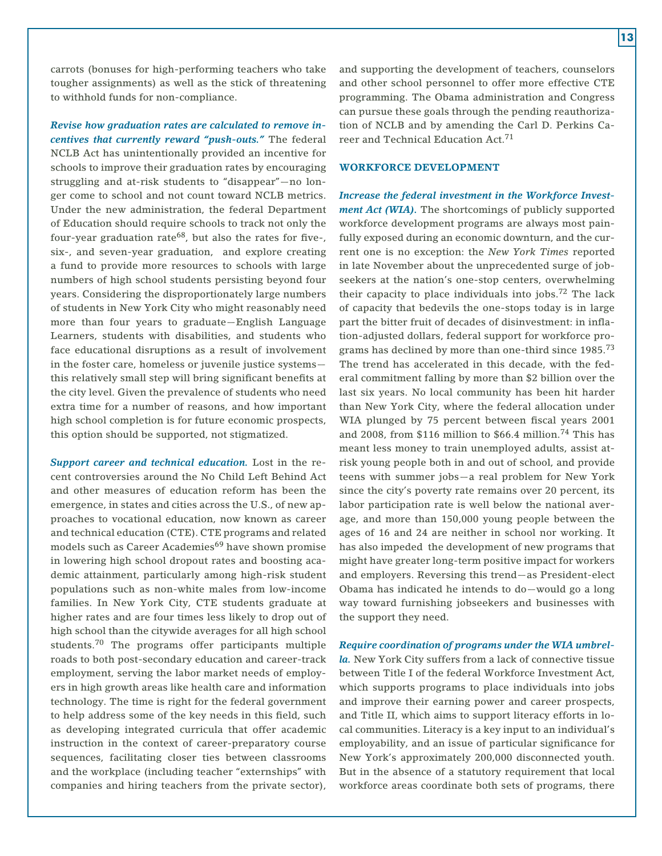carrots (bonuses for high-performing teachers who take tougher assignments) as well as the stick of threatening to withhold funds for non-compliance.

*Revise how graduation rates are calculated to remove incentives that currently reward "push-outs."* The federal NCLB Act has unintentionally provided an incentive for schools to improve their graduation rates by encouraging struggling and at-risk students to "disappear"—no longer come to school and not count toward NCLB metrics. Under the new administration, the federal Department of Education should require schools to track not only the four-year graduation rate<sup>68</sup>, but also the rates for five-, six-, and seven-year graduation, and explore creating a fund to provide more resources to schools with large numbers of high school students persisting beyond four years. Considering the disproportionately large numbers of students in New York City who might reasonably need more than four years to graduate—English Language Learners, students with disabilities, and students who face educational disruptions as a result of involvement in the foster care, homeless or juvenile justice systems this relatively small step will bring significant benefits at the city level. Given the prevalence of students who need extra time for a number of reasons, and how important high school completion is for future economic prospects, this option should be supported, not stigmatized.

*Support career and technical education.* Lost in the recent controversies around the No Child Left Behind Act and other measures of education reform has been the emergence, in states and cities across the U.S., of new approaches to vocational education, now known as career and technical education (CTE). CTE programs and related models such as Career Academies<sup>69</sup> have shown promise in lowering high school dropout rates and boosting academic attainment, particularly among high-risk student populations such as non-white males from low-income families. In New York City, CTE students graduate at higher rates and are four times less likely to drop out of high school than the citywide averages for all high school students.70 The programs offer participants multiple roads to both post-secondary education and career-track employment, serving the labor market needs of employers in high growth areas like health care and information technology. The time is right for the federal government to help address some of the key needs in this field, such as developing integrated curricula that offer academic instruction in the context of career-preparatory course sequences, facilitating closer ties between classrooms and the workplace (including teacher "externships" with companies and hiring teachers from the private sector),

and supporting the development of teachers, counselors and other school personnel to offer more effective CTE programming. The Obama administration and Congress can pursue these goals through the pending reauthorization of NCLB and by amending the Carl D. Perkins Career and Technical Education Act.<sup>71</sup>

#### **WORKFORCE DEVELOPMENT**

*Increase the federal investment in the Workforce Investment Act (WIA).* The shortcomings of publicly supported workforce development programs are always most painfully exposed during an economic downturn, and the current one is no exception: the *New York Times* reported in late November about the unprecedented surge of jobseekers at the nation's one-stop centers, overwhelming their capacity to place individuals into jobs.<sup>72</sup> The lack of capacity that bedevils the one-stops today is in large part the bitter fruit of decades of disinvestment: in inflation-adjusted dollars, federal support for workforce programs has declined by more than one-third since  $1985.^{73}$ The trend has accelerated in this decade, with the federal commitment falling by more than \$2 billion over the last six years. No local community has been hit harder than New York City, where the federal allocation under WIA plunged by 75 percent between fiscal years 2001 and 2008, from \$116 million to \$66.4 million.<sup>74</sup> This has meant less money to train unemployed adults, assist atrisk young people both in and out of school, and provide teens with summer jobs—a real problem for New York since the city's poverty rate remains over 20 percent, its labor participation rate is well below the national average, and more than 150,000 young people between the ages of 16 and 24 are neither in school nor working. It has also impeded the development of new programs that might have greater long-term positive impact for workers and employers. Reversing this trend—as President-elect Obama has indicated he intends to do—would go a long way toward furnishing jobseekers and businesses with the support they need.

#### *Require coordination of programs under the WIA umbrel-*

*la.* New York City suffers from a lack of connective tissue between Title I of the federal Workforce Investment Act, which supports programs to place individuals into jobs and improve their earning power and career prospects, and Title II, which aims to support literacy efforts in local communities. Literacy is a key input to an individual's employability, and an issue of particular significance for New York's approximately 200,000 disconnected youth. But in the absence of a statutory requirement that local workforce areas coordinate both sets of programs, there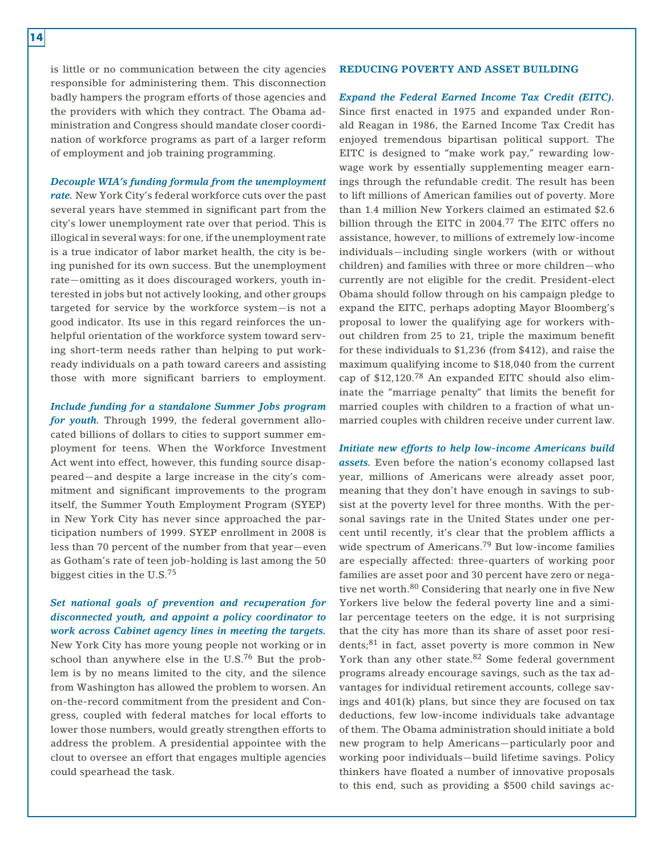is little or no communication between the city agencies responsible for administering them. This disconnection badly hampers the program efforts of those agencies and the providers with which they contract. The Obama administration and Congress should mandate closer coordination of workforce programs as part of a larger reform of employment and job training programming.

*Decouple WIA's funding formula from the unemployment rate.* New York City's federal workforce cuts over the past several years have stemmed in significant part from the city's lower unemployment rate over that period. This is illogical in several ways: for one, if the unemployment rate is a true indicator of labor market health, the city is being punished for its own success. But the unemployment rate—omitting as it does discouraged workers, youth interested in jobs but not actively looking, and other groups targeted for service by the workforce system—is not a good indicator. Its use in this regard reinforces the unhelpful orientation of the workforce system toward serving short-term needs rather than helping to put workready individuals on a path toward careers and assisting those with more significant barriers to employment.

*Include funding for a standalone Summer Jobs program for youth.* Through 1999, the federal government allocated billions of dollars to cities to support summer employment for teens. When the Workforce Investment Act went into effect, however, this funding source disappeared—and despite a large increase in the city's commitment and significant improvements to the program itself, the Summer Youth Employment Program (SYEP) in New York City has never since approached the participation numbers of 1999. SYEP enrollment in 2008 is less than 70 percent of the number from that year—even as Gotham's rate of teen job-holding is last among the 50 biggest cities in the U.S.75

#### *Set national goals of prevention and recuperation for disconnected youth, and appoint a policy coordinator to work across Cabinet agency lines in meeting the targets.*

New York City has more young people not working or in school than anywhere else in the  $U.S.^{76}$  But the problem is by no means limited to the city, and the silence from Washington has allowed the problem to worsen. An on-the-record commitment from the president and Congress, coupled with federal matches for local efforts to lower those numbers, would greatly strengthen efforts to address the problem. A presidential appointee with the clout to oversee an effort that engages multiple agencies could spearhead the task.

#### **REDUCING POVERTY AND ASSET BUILDING**

*Expand the Federal Earned Income Tax Credit (EITC).*  Since first enacted in 1975 and expanded under Ronald Reagan in 1986, the Earned Income Tax Credit has enjoyed tremendous bipartisan political support. The EITC is designed to "make work pay," rewarding lowwage work by essentially supplementing meager earnings through the refundable credit. The result has been to lift millions of American families out of poverty. More than 1.4 million New Yorkers claimed an estimated \$2.6 billion through the EITC in 2004.77 The EITC offers no assistance, however, to millions of extremely low-income individuals—including single workers (with or without children) and families with three or more children—who currently are not eligible for the credit. President-elect Obama should follow through on his campaign pledge to expand the EITC, perhaps adopting Mayor Bloomberg's proposal to lower the qualifying age for workers without children from 25 to 21, triple the maximum benefit for these individuals to \$1,236 (from \$412), and raise the maximum qualifying income to \$18,040 from the current cap of \$12,120.<sup>78</sup> An expanded EITC should also eliminate the "marriage penalty" that limits the benefit for married couples with children to a fraction of what unmarried couples with children receive under current law.

*Initiate new efforts to help low-income Americans build assets.* Even before the nation's economy collapsed last year, millions of Americans were already asset poor, meaning that they don't have enough in savings to subsist at the poverty level for three months. With the personal savings rate in the United States under one percent until recently, it's clear that the problem afflicts a wide spectrum of Americans.<sup>79</sup> But low-income families are especially affected: three-quarters of working poor families are asset poor and 30 percent have zero or negative net worth.<sup>80</sup> Considering that nearly one in five New Yorkers live below the federal poverty line and a similar percentage teeters on the edge, it is not surprising that the city has more than its share of asset poor residents;<sup>81</sup> in fact, asset poverty is more common in New York than any other state. $82$  Some federal government programs already encourage savings, such as the tax advantages for individual retirement accounts, college savings and 401(k) plans, but since they are focused on tax deductions, few low-income individuals take advantage of them. The Obama administration should initiate a bold new program to help Americans—particularly poor and working poor individuals—build lifetime savings. Policy thinkers have floated a number of innovative proposals to this end, such as providing a \$500 child savings ac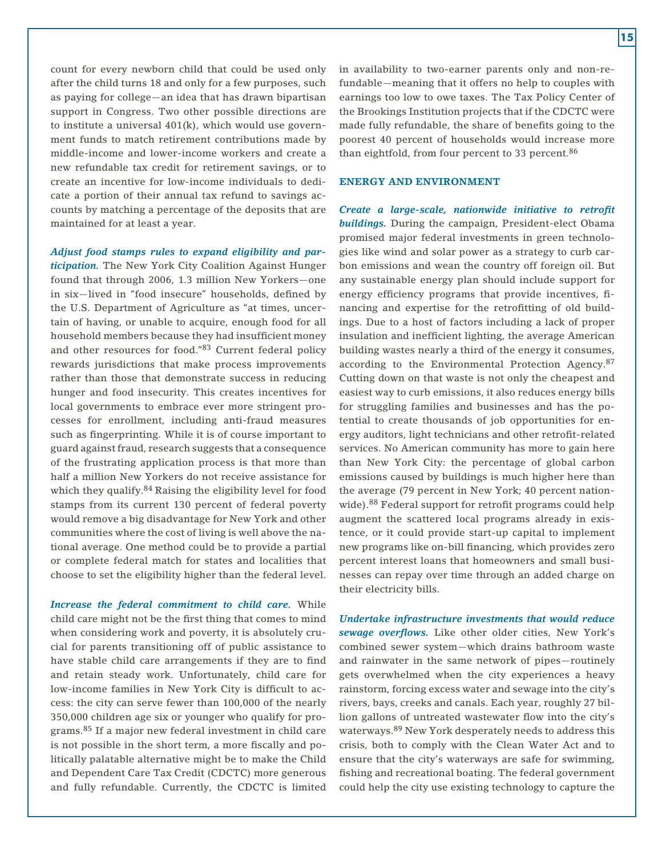count for every newborn child that could be used only after the child turns 18 and only for a few purposes, such as paying for college—an idea that has drawn bipartisan support in Congress. Two other possible directions are to institute a universal 401(k), which would use government funds to match retirement contributions made by middle-income and lower-income workers and create a new refundable tax credit for retirement savings, or to create an incentive for low-income individuals to dedicate a portion of their annual tax refund to savings accounts by matching a percentage of the deposits that are maintained for at least a year.

*Adjust food stamps rules to expand eligibility and participation.* The New York City Coalition Against Hunger found that through 2006, 1.3 million New Yorkers—one in six—lived in "food insecure" households, defined by the U.S. Department of Agriculture as "at times, uncertain of having, or unable to acquire, enough food for all household members because they had insufficient money and other resources for food."83 Current federal policy rewards jurisdictions that make process improvements rather than those that demonstrate success in reducing hunger and food insecurity. This creates incentives for local governments to embrace ever more stringent processes for enrollment, including anti-fraud measures such as fingerprinting. While it is of course important to guard against fraud, research suggests that a consequence of the frustrating application process is that more than half a million New Yorkers do not receive assistance for which they qualify.<sup>84</sup> Raising the eligibility level for food stamps from its current 130 percent of federal poverty would remove a big disadvantage for New York and other communities where the cost of living is well above the national average. One method could be to provide a partial or complete federal match for states and localities that choose to set the eligibility higher than the federal level.

*Increase the federal commitment to child care.* While child care might not be the first thing that comes to mind when considering work and poverty, it is absolutely crucial for parents transitioning off of public assistance to have stable child care arrangements if they are to find and retain steady work. Unfortunately, child care for low-income families in New York City is difficult to access: the city can serve fewer than 100,000 of the nearly 350,000 children age six or younger who qualify for programs.85 If a major new federal investment in child care is not possible in the short term, a more fiscally and politically palatable alternative might be to make the Child and Dependent Care Tax Credit (CDCTC) more generous and fully refundable. Currently, the CDCTC is limited

in availability to two-earner parents only and non-refundable—meaning that it offers no help to couples with earnings too low to owe taxes. The Tax Policy Center of the Brookings Institution projects that if the CDCTC were made fully refundable, the share of benefits going to the poorest 40 percent of households would increase more than eightfold, from four percent to 33 percent.<sup>86</sup>

#### **ENERGY AND ENVIRONMENT**

*Create a large-scale, nationwide initiative to retrofit buildings.* During the campaign, President-elect Obama promised major federal investments in green technologies like wind and solar power as a strategy to curb carbon emissions and wean the country off foreign oil. But any sustainable energy plan should include support for energy efficiency programs that provide incentives, financing and expertise for the retrofitting of old buildings. Due to a host of factors including a lack of proper insulation and inefficient lighting, the average American building wastes nearly a third of the energy it consumes, according to the Environmental Protection Agency.<sup>87</sup> Cutting down on that waste is not only the cheapest and easiest way to curb emissions, it also reduces energy bills for struggling families and businesses and has the potential to create thousands of job opportunities for energy auditors, light technicians and other retrofit-related services. No American community has more to gain here than New York City: the percentage of global carbon emissions caused by buildings is much higher here than the average (79 percent in New York; 40 percent nationwide).<sup>88</sup> Federal support for retrofit programs could help augment the scattered local programs already in existence, or it could provide start-up capital to implement new programs like on-bill financing, which provides zero percent interest loans that homeowners and small businesses can repay over time through an added charge on their electricity bills.

*Undertake infrastructure investments that would reduce sewage overflows.* Like other older cities, New York's combined sewer system—which drains bathroom waste and rainwater in the same network of pipes—routinely gets overwhelmed when the city experiences a heavy rainstorm, forcing excess water and sewage into the city's rivers, bays, creeks and canals. Each year, roughly 27 billion gallons of untreated wastewater flow into the city's waterways.89 New York desperately needs to address this crisis, both to comply with the Clean Water Act and to ensure that the city's waterways are safe for swimming, fishing and recreational boating. The federal government could help the city use existing technology to capture the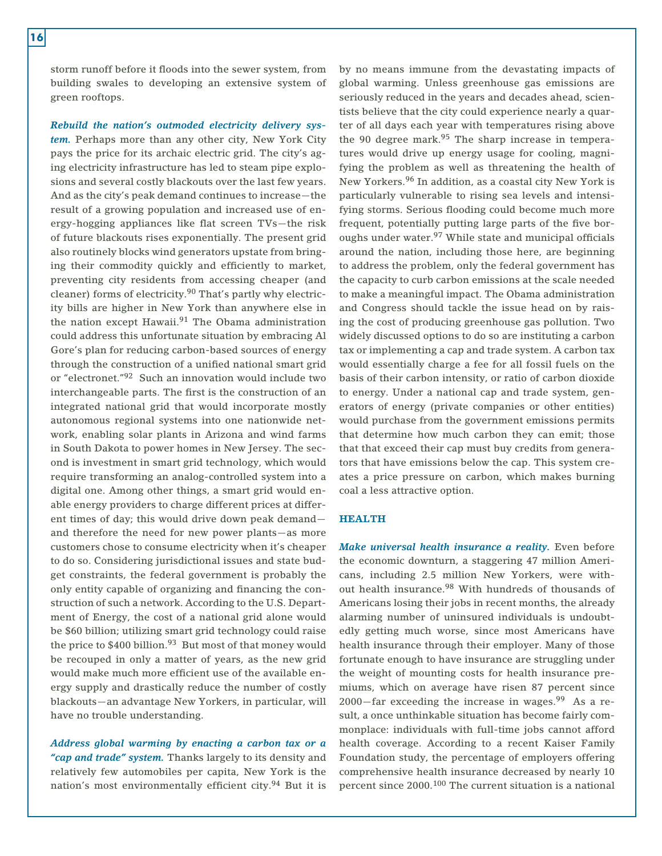storm runoff before it floods into the sewer system, from building swales to developing an extensive system of green rooftops.

*Rebuild the nation's outmoded electricity delivery system.* Perhaps more than any other city, New York City pays the price for its archaic electric grid. The city's aging electricity infrastructure has led to steam pipe explosions and several costly blackouts over the last few years. And as the city's peak demand continues to increase—the result of a growing population and increased use of energy-hogging appliances like flat screen TVs—the risk of future blackouts rises exponentially. The present grid also routinely blocks wind generators upstate from bringing their commodity quickly and efficiently to market, preventing city residents from accessing cheaper (and cleaner) forms of electricity. $90$  That's partly why electricity bills are higher in New York than anywhere else in the nation except Hawaii.<sup>91</sup> The Obama administration could address this unfortunate situation by embracing Al Gore's plan for reducing carbon-based sources of energy through the construction of a unified national smart grid or "electronet."92 Such an innovation would include two interchangeable parts. The first is the construction of an integrated national grid that would incorporate mostly autonomous regional systems into one nationwide network, enabling solar plants in Arizona and wind farms in South Dakota to power homes in New Jersey. The second is investment in smart grid technology, which would require transforming an analog-controlled system into a digital one. Among other things, a smart grid would enable energy providers to charge different prices at different times of day; this would drive down peak demand and therefore the need for new power plants—as more customers chose to consume electricity when it's cheaper to do so. Considering jurisdictional issues and state budget constraints, the federal government is probably the only entity capable of organizing and financing the construction of such a network. According to the U.S. Department of Energy, the cost of a national grid alone would be \$60 billion; utilizing smart grid technology could raise the price to  $$400$  billion.<sup>93</sup> But most of that money would be recouped in only a matter of years, as the new grid would make much more efficient use of the available energy supply and drastically reduce the number of costly blackouts—an advantage New Yorkers, in particular, will have no trouble understanding.

*Address global warming by enacting a carbon tax or a "cap and trade" system.* Thanks largely to its density and relatively few automobiles per capita, New York is the nation's most environmentally efficient city.<sup>94</sup> But it is by no means immune from the devastating impacts of global warming. Unless greenhouse gas emissions are seriously reduced in the years and decades ahead, scientists believe that the city could experience nearly a quarter of all days each year with temperatures rising above the 90 degree mark.<sup>95</sup> The sharp increase in temperatures would drive up energy usage for cooling, magnifying the problem as well as threatening the health of New Yorkers.96 In addition, as a coastal city New York is particularly vulnerable to rising sea levels and intensifying storms. Serious flooding could become much more frequent, potentially putting large parts of the five boroughs under water.<sup>97</sup> While state and municipal officials around the nation, including those here, are beginning to address the problem, only the federal government has the capacity to curb carbon emissions at the scale needed to make a meaningful impact. The Obama administration and Congress should tackle the issue head on by raising the cost of producing greenhouse gas pollution. Two widely discussed options to do so are instituting a carbon tax or implementing a cap and trade system. A carbon tax would essentially charge a fee for all fossil fuels on the basis of their carbon intensity, or ratio of carbon dioxide to energy. Under a national cap and trade system, generators of energy (private companies or other entities) would purchase from the government emissions permits that determine how much carbon they can emit; those that that exceed their cap must buy credits from generators that have emissions below the cap. This system creates a price pressure on carbon, which makes burning coal a less attractive option.

#### **HEALTH**

*Make universal health insurance a reality.* Even before the economic downturn, a staggering 47 million Americans, including 2.5 million New Yorkers, were without health insurance.<sup>98</sup> With hundreds of thousands of Americans losing their jobs in recent months, the already alarming number of uninsured individuals is undoubtedly getting much worse, since most Americans have health insurance through their employer. Many of those fortunate enough to have insurance are struggling under the weight of mounting costs for health insurance premiums, which on average have risen 87 percent since  $2000$ –far exceeding the increase in wages.<sup>99</sup> As a result, a once unthinkable situation has become fairly commonplace: individuals with full-time jobs cannot afford health coverage. According to a recent Kaiser Family Foundation study, the percentage of employers offering comprehensive health insurance decreased by nearly 10 percent since 2000.100 The current situation is a national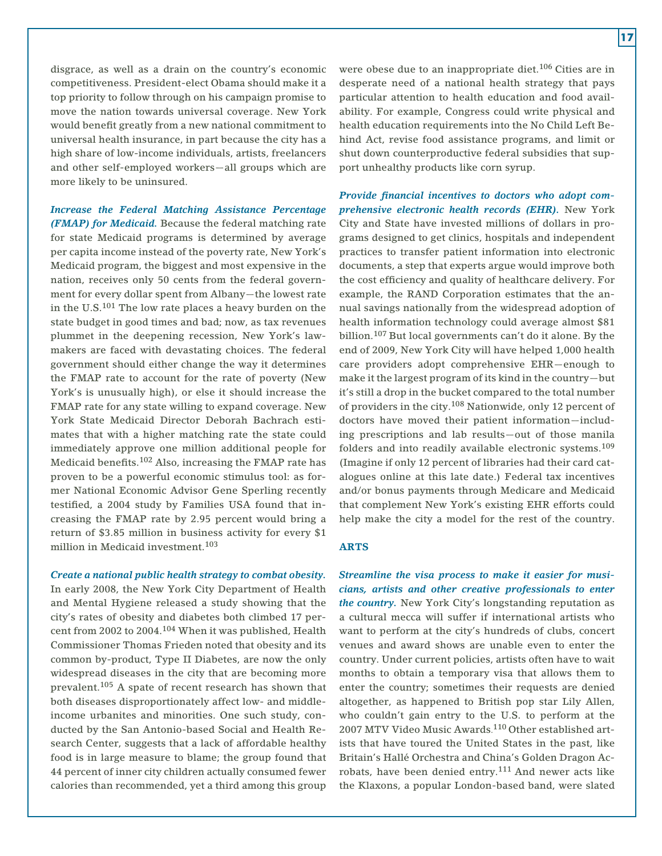disgrace, as well as a drain on the country's economic competitiveness. President-elect Obama should make it a top priority to follow through on his campaign promise to move the nation towards universal coverage. New York would benefit greatly from a new national commitment to universal health insurance, in part because the city has a high share of low-income individuals, artists, freelancers and other self-employed workers—all groups which are more likely to be uninsured.

*Increase the Federal Matching Assistance Percentage (FMAP) for Medicaid.* Because the federal matching rate for state Medicaid programs is determined by average per capita income instead of the poverty rate, New York's Medicaid program, the biggest and most expensive in the nation, receives only 50 cents from the federal government for every dollar spent from Albany—the lowest rate in the U.S.<sup>101</sup> The low rate places a heavy burden on the state budget in good times and bad; now, as tax revenues plummet in the deepening recession, New York's lawmakers are faced with devastating choices. The federal government should either change the way it determines the FMAP rate to account for the rate of poverty (New York's is unusually high), or else it should increase the FMAP rate for any state willing to expand coverage. New York State Medicaid Director Deborah Bachrach estimates that with a higher matching rate the state could immediately approve one million additional people for Medicaid benefits.102 Also, increasing the FMAP rate has proven to be a powerful economic stimulus tool: as former National Economic Advisor Gene Sperling recently testified, a 2004 study by Families USA found that increasing the FMAP rate by 2.95 percent would bring a return of \$3.85 million in business activity for every \$1 million in Medicaid investment.<sup>103</sup>

*Create a national public health strategy to combat obesity.*  In early 2008, the New York City Department of Health and Mental Hygiene released a study showing that the city's rates of obesity and diabetes both climbed 17 percent from 2002 to 2004.104 When it was published, Health Commissioner Thomas Frieden noted that obesity and its common by-product, Type II Diabetes, are now the only widespread diseases in the city that are becoming more prevalent.105 A spate of recent research has shown that both diseases disproportionately affect low- and middleincome urbanites and minorities. One such study, conducted by the San Antonio-based Social and Health Research Center, suggests that a lack of affordable healthy food is in large measure to blame; the group found that 44 percent of inner city children actually consumed fewer calories than recommended, yet a third among this group

were obese due to an inappropriate diet.<sup>106</sup> Cities are in desperate need of a national health strategy that pays particular attention to health education and food availability. For example, Congress could write physical and health education requirements into the No Child Left Behind Act, revise food assistance programs, and limit or shut down counterproductive federal subsidies that support unhealthy products like corn syrup.

*Provide financial incentives to doctors who adopt comprehensive electronic health records (EHR).* New York City and State have invested millions of dollars in programs designed to get clinics, hospitals and independent practices to transfer patient information into electronic documents, a step that experts argue would improve both the cost efficiency and quality of healthcare delivery. For example, the RAND Corporation estimates that the annual savings nationally from the widespread adoption of health information technology could average almost \$81 billion.<sup>107</sup> But local governments can't do it alone. By the end of 2009, New York City will have helped 1,000 health care providers adopt comprehensive EHR—enough to make it the largest program of its kind in the country—but it's still a drop in the bucket compared to the total number of providers in the city.<sup>108</sup> Nationwide, only 12 percent of doctors have moved their patient information—including prescriptions and lab results—out of those manila folders and into readily available electronic systems.<sup>109</sup> (Imagine if only 12 percent of libraries had their card catalogues online at this late date.) Federal tax incentives and/or bonus payments through Medicare and Medicaid that complement New York's existing EHR efforts could help make the city a model for the rest of the country.

#### **ARTS**

*Streamline the visa process to make it easier for musicians, artists and other creative professionals to enter the country.* New York City's longstanding reputation as a cultural mecca will suffer if international artists who want to perform at the city's hundreds of clubs, concert venues and award shows are unable even to enter the country. Under current policies, artists often have to wait months to obtain a temporary visa that allows them to enter the country; sometimes their requests are denied altogether, as happened to British pop star Lily Allen, who couldn't gain entry to the U.S. to perform at the 2007 MTV Video Music Awards. <sup>110</sup> Other established artists that have toured the United States in the past, like Britain's Hallé Orchestra and China's Golden Dragon Acrobats, have been denied entry. $111$  And newer acts like the Klaxons, a popular London-based band, were slated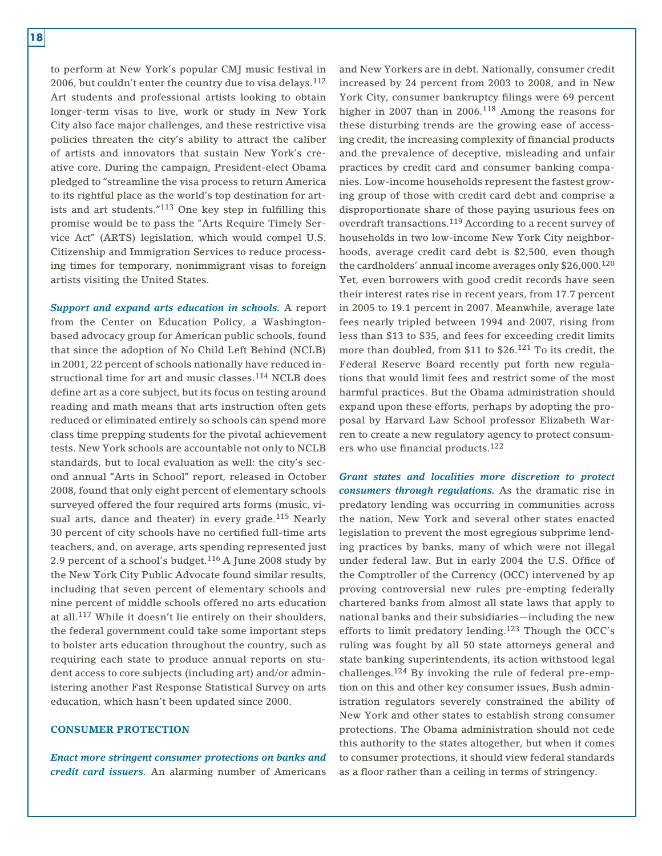to perform at New York's popular CMJ music festival in 2006, but couldn't enter the country due to visa delays. $112$ Art students and professional artists looking to obtain longer-term visas to live, work or study in New York City also face major challenges, and these restrictive visa policies threaten the city's ability to attract the caliber of artists and innovators that sustain New York's creative core. During the campaign, President-elect Obama pledged to "streamline the visa process to return America to its rightful place as the world's top destination for artists and art students."113 One key step in fulfilling this promise would be to pass the "Arts Require Timely Service Act" (ARTS) legislation, which would compel U.S. Citizenship and Immigration Services to reduce processing times for temporary, nonimmigrant visas to foreign artists visiting the United States.

*Support and expand arts education in schools.* A report from the Center on Education Policy, a Washingtonbased advocacy group for American public schools, found that since the adoption of No Child Left Behind (NCLB) in 2001, 22 percent of schools nationally have reduced instructional time for art and music classes.114 NCLB does define art as a core subject, but its focus on testing around reading and math means that arts instruction often gets reduced or eliminated entirely so schools can spend more class time prepping students for the pivotal achievement tests. New York schools are accountable not only to NCLB standards, but to local evaluation as well: the city's second annual "Arts in School" report, released in October 2008, found that only eight percent of elementary schools surveyed offered the four required arts forms (music, visual arts, dance and theater) in every grade.<sup>115</sup> Nearly 30 percent of city schools have no certified full-time arts teachers, and, on average, arts spending represented just 2.9 percent of a school's budget. $116$  A June 2008 study by the New York City Public Advocate found similar results, including that seven percent of elementary schools and nine percent of middle schools offered no arts education at all.<sup>117</sup> While it doesn't lie entirely on their shoulders, the federal government could take some important steps to bolster arts education throughout the country, such as requiring each state to produce annual reports on student access to core subjects (including art) and/or administering another Fast Response Statistical Survey on arts education, which hasn't been updated since 2000.

#### **CONSUMER PROTECTION**

*Enact more stringent consumer protections on banks and credit card issuers.* An alarming number of Americans

and New Yorkers are in debt. Nationally, consumer credit increased by 24 percent from 2003 to 2008, and in New York City, consumer bankruptcy filings were 69 percent higher in 2007 than in 2006.<sup>118</sup> Among the reasons for these disturbing trends are the growing ease of accessing credit, the increasing complexity of financial products and the prevalence of deceptive, misleading and unfair practices by credit card and consumer banking companies. Low-income households represent the fastest growing group of those with credit card debt and comprise a disproportionate share of those paying usurious fees on overdraft transactions.<sup>119</sup> According to a recent survey of households in two low-income New York City neighborhoods, average credit card debt is \$2,500, even though the cardholders' annual income averages only \$26,000.<sup>120</sup> Yet, even borrowers with good credit records have seen their interest rates rise in recent years, from 17.7 percent in 2005 to 19.1 percent in 2007. Meanwhile, average late fees nearly tripled between 1994 and 2007, rising from less than \$13 to \$35, and fees for exceeding credit limits more than doubled, from \$11 to \$26.<sup>121</sup> To its credit, the Federal Reserve Board recently put forth new regulations that would limit fees and restrict some of the most harmful practices. But the Obama administration should expand upon these efforts, perhaps by adopting the proposal by Harvard Law School professor Elizabeth Warren to create a new regulatory agency to protect consumers who use financial products.<sup>122</sup>

*Grant states and localities more discretion to protect consumers through regulations.* As the dramatic rise in predatory lending was occurring in communities across the nation, New York and several other states enacted legislation to prevent the most egregious subprime lending practices by banks, many of which were not illegal under federal law. But in early 2004 the U.S. Office of the Comptroller of the Currency (OCC) intervened by ap proving controversial new rules pre-empting federally chartered banks from almost all state laws that apply to national banks and their subsidiaries—including the new efforts to limit predatory lending.<sup>123</sup> Though the OCC's ruling was fought by all 50 state attorneys general and state banking superintendents, its action withstood legal challenges.<sup>124</sup> By invoking the rule of federal pre-emption on this and other key consumer issues, Bush administration regulators severely constrained the ability of New York and other states to establish strong consumer protections. The Obama administration should not cede this authority to the states altogether, but when it comes to consumer protections, it should view federal standards as a floor rather than a ceiling in terms of stringency.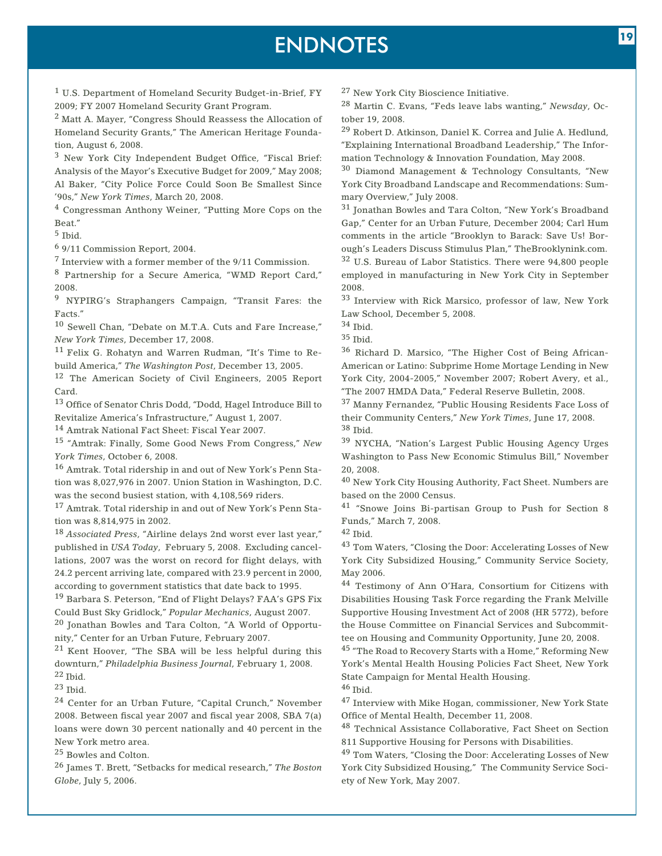### **ENDNOTES**

<sup>1</sup> U.S. Department of Homeland Security Budget-in-Brief, FY 2009; FY 2007 Homeland Security Grant Program.

2 Matt A. Mayer, "Congress Should Reassess the Allocation of Homeland Security Grants," The American Heritage Foundation, August 6, 2008.

<sup>3</sup> New York City Independent Budget Office, "Fiscal Brief: Analysis of the Mayor's Executive Budget for 2009," May 2008; Al Baker, "City Police Force Could Soon Be Smallest Since '90s," *New York Times*, March 20, 2008.

<sup>4</sup> Congressman Anthony Weiner, "Putting More Cops on the Beat."

 $^5$  Ibid.  $\,$ 

6 9/11 Commission Report, 2004.

7 Interview with a former member of the 9/11 Commission.

<sup>8</sup> Partnership for a Secure America, "WMD Report Card," 2008.

<sup>9</sup> NYPIRG's Straphangers Campaign, "Transit Fares: the Facts."

<sup>10</sup> Sewell Chan, "Debate on M.T.A. Cuts and Fare Increase," *New York Times*, December 17, 2008.

<sup>11</sup> Felix G. Rohatyn and Warren Rudman, "It's Time to Rebuild America," *The Washington Post*, December 13, 2005.

<sup>12</sup> The American Society of Civil Engineers, 2005 Report Card.

<sup>13</sup> Office of Senator Chris Dodd, "Dodd, Hagel Introduce Bill to Revitalize America's Infrastructure," August 1, 2007.

<sup>14</sup> Amtrak National Fact Sheet: Fiscal Year 2007.

<sup>15</sup> "Amtrak: Finally, Some Good News From Congress," *New York Times*, October 6, 2008.

<sup>16</sup> Amtrak. Total ridership in and out of New York's Penn Station was 8,027,976 in 2007. Union Station in Washington, D.C. was the second busiest station, with 4,108,569 riders.

<sup>17</sup> Amtrak. Total ridership in and out of New York's Penn Station was 8,814,975 in 2002.

<sup>18</sup>*Associated Press*, "Airline delays 2nd worst ever last year," published in *USA Today*, February 5, 2008. Excluding cancellations, 2007 was the worst on record for flight delays, with 24.2 percent arriving late, compared with 23.9 percent in 2000, according to government statistics that date back to 1995.

<sup>19</sup> Barbara S. Peterson, "End of Flight Delays? FAA's GPS Fix Could Bust Sky Gridlock," *Popular Mechanics*, August 2007.

20 Jonathan Bowles and Tara Colton, "A World of Opportunity," Center for an Urban Future, February 2007.

21 Kent Hoover, "The SBA will be less helpful during this downturn," *Philadelphia Business Journal*, February 1, 2008.  $^{22}$  Ibid.

 $^{23}$  Ibid.

<sup>24</sup> Center for an Urban Future, "Capital Crunch," November 2008. Between fiscal year 2007 and fiscal year 2008, SBA 7(a) loans were down 30 percent nationally and 40 percent in the New York metro area.

<sup>25</sup> Bowles and Colton.

<sup>26</sup> James T. Brett, "Setbacks for medical research," *The Boston Globe*, July 5, 2006.

<sup>27</sup> New York City Bioscience Initiative.

<sup>28</sup> Martin C. Evans, "Feds leave labs wanting," *Newsday*, October 19, 2008.

 $^{29}$  Robert D. Atkinson, Daniel K. Correa and Julie A. Hedlund, "Explaining International Broadband Leadership," The Information Technology & Innovation Foundation, May 2008.

 $30$  Diamond Management & Technology Consultants, "New York City Broadband Landscape and Recommendations: Summary Overview," July 2008.

<sup>31</sup> Jonathan Bowles and Tara Colton, "New York's Broadband Gap," Center for an Urban Future, December 2004; Carl Hum comments in the article "Brooklyn to Barack: Save Us! Borough's Leaders Discuss Stimulus Plan," TheBrooklynink.com. <sup>32</sup> U.S. Bureau of Labor Statistics. There were 94,800 people employed in manufacturing in New York City in September 2008.

33 Interview with Rick Marsico, professor of law, New York Law School, December 5, 2008.

<sup>34</sup> Ibid.

 $35$  Ibid.

<sup>36</sup> Richard D. Marsico, "The Higher Cost of Being African-American or Latino: Subprime Home Mortage Lending in New York City, 2004-2005," November 2007; Robert Avery, et al., "The 2007 HMDA Data," Federal Reserve Bulletin, 2008.

<sup>37</sup> Manny Fernandez, "Public Housing Residents Face Loss of their Community Centers," *New York Times*, June 17, 2008. <sup>38</sup> Ibid.

<sup>39</sup> NYCHA, "Nation's Largest Public Housing Agency Urges Washington to Pass New Economic Stimulus Bill," November 20, 2008.

<sup>40</sup> New York City Housing Authority, Fact Sheet. Numbers are based on the 2000 Census.

<sup>41</sup> "Snowe Joins Bi-partisan Group to Push for Section 8 Funds," March 7, 2008.

42 Ibid.

<sup>43</sup> Tom Waters, "Closing the Door: Accelerating Losses of New York City Subsidized Housing," Community Service Society, May 2006.

<sup>44</sup> Testimony of Ann O'Hara, Consortium for Citizens with Disabilities Housing Task Force regarding the Frank Melville Supportive Housing Investment Act of 2008 (HR 5772), before the House Committee on Financial Services and Subcommittee on Housing and Community Opportunity, June 20, 2008.

<sup>45</sup> "The Road to Recovery Starts with a Home," Reforming New York's Mental Health Housing Policies Fact Sheet, New York State Campaign for Mental Health Housing. 46 Ibid.

<sup>47</sup> Interview with Mike Hogan, commissioner, New York State Office of Mental Health, December 11, 2008.

<sup>48</sup> Technical Assistance Collaborative, Fact Sheet on Section 811 Supportive Housing for Persons with Disabilities.

<sup>49</sup> Tom Waters, "Closing the Door: Accelerating Losses of New York City Subsidized Housing," The Community Service Society of New York, May 2007.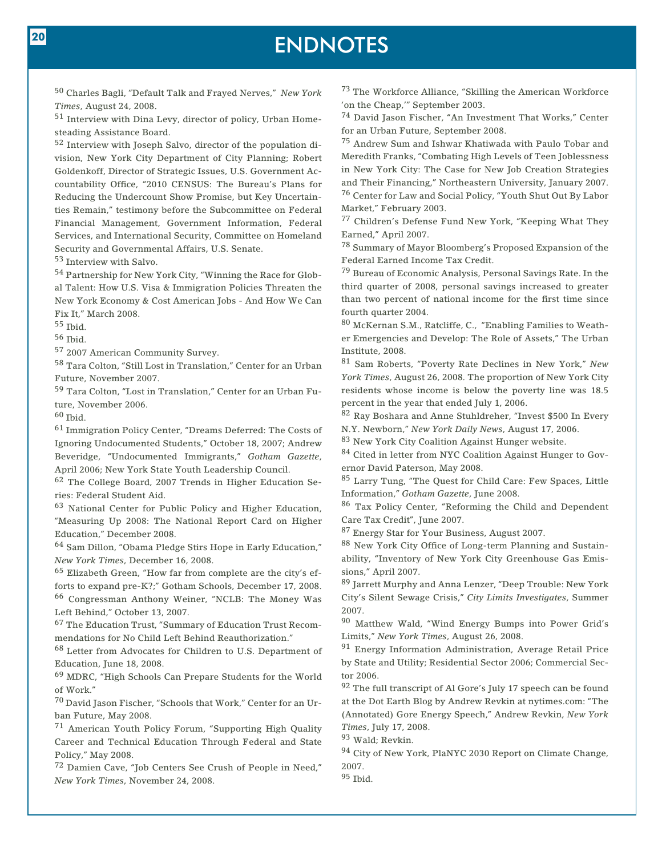## ENDNOTES **<sup>20</sup>**

<sup>50</sup> Charles Bagli, "Default Talk and Frayed Nerves," *New York Times*, August 24, 2008.

<sup>51</sup> Interview with Dina Levy, director of policy, Urban Homesteading Assistance Board.

<sup>52</sup> Interview with Joseph Salvo, director of the population division, New York City Department of City Planning; Robert Goldenkoff, Director of Strategic Issues, U.S. Government Accountability Office, "2010 CENSUS: The Bureau's Plans for Reducing the Undercount Show Promise, but Key Uncertainties Remain," testimony before the Subcommittee on Federal Financial Management, Government Information, Federal Services, and International Security, Committee on Homeland Security and Governmental Affairs, U.S. Senate.

53 Interview with Salvo.

<sup>54</sup> Partnership for New York City, "Winning the Race for Global Talent: How U.S. Visa & Immigration Policies Threaten the New York Economy & Cost American Jobs - And How We Can Fix It," March 2008.

<sup>55</sup> Ibid.

<sup>56</sup> Ibid.

<sup>57</sup> 2007 American Community Survey.

<sup>58</sup> Tara Colton, "Still Lost in Translation," Center for an Urban Future, November 2007.

<sup>59</sup> Tara Colton, "Lost in Translation," Center for an Urban Future, November 2006.

 $60$  Ibid.

61 Immigration Policy Center, "Dreams Deferred: The Costs of Ignoring Undocumented Students," October 18, 2007; Andrew Beveridge, "Undocumented Immigrants," *Gotham Gazette*, April 2006; New York State Youth Leadership Council.

<sup>62</sup> The College Board, 2007 Trends in Higher Education Series: Federal Student Aid.

<sup>63</sup> National Center for Public Policy and Higher Education, "Measuring Up 2008: The National Report Card on Higher Education," December 2008.

<sup>64</sup> Sam Dillon, "Obama Pledge Stirs Hope in Early Education," *New York Times*, December 16, 2008.

<sup>65</sup> Elizabeth Green, "How far from complete are the city's efforts to expand pre-K?;" Gotham Schools, December 17, 2008. <sup>66</sup> Congressman Anthony Weiner, "NCLB: The Money Was Left Behind," October 13, 2007.

<sup>67</sup> The Education Trust, "Summary of Education Trust Recommendations for No Child Left Behind Reauthorization."

68 Letter from Advocates for Children to U.S. Department of Education, June 18, 2008.

<sup>69</sup> MDRC, "High Schools Can Prepare Students for the World of Work."

 $^{70}$  David Jason Fischer, "Schools that Work," Center for an Urban Future, May 2008.

<sup>71</sup> American Youth Policy Forum, "Supporting High Quality Career and Technical Education Through Federal and State Policy," May 2008.

<sup>72</sup> Damien Cave, "Job Centers See Crush of People in Need," *New York Times*, November 24, 2008.

73 The Workforce Alliance, "Skilling the American Workforce 'on the Cheap,'" September 2003.

<sup>74</sup> David Jason Fischer, "An Investment That Works," Center for an Urban Future, September 2008.

<sup>75</sup> Andrew Sum and Ishwar Khatiwada with Paulo Tobar and Meredith Franks, "Combating High Levels of Teen Joblessness in New York City: The Case for New Job Creation Strategies and Their Financing," Northeastern University, January 2007. <sup>76</sup> Center for Law and Social Policy, "Youth Shut Out By Labor Market," February 2003.

<sup>77</sup> Children's Defense Fund New York, "Keeping What They Earned," April 2007.

<sup>78</sup> Summary of Mayor Bloomberg's Proposed Expansion of the Federal Earned Income Tax Credit.

<sup>79</sup> Bureau of Economic Analysis, Personal Savings Rate. In the third quarter of 2008, personal savings increased to greater than two percent of national income for the first time since fourth quarter 2004.

<sup>80</sup> McKernan S.M., Ratcliffe, C., "Enabling Families to Weather Emergencies and Develop: The Role of Assets," The Urban Institute, 2008.

<sup>81</sup> Sam Roberts, "Poverty Rate Declines in New York," *New York Times*, August 26, 2008. The proportion of New York City residents whose income is below the poverty line was 18.5 percent in the year that ended July 1, 2006.

<sup>82</sup> Ray Boshara and Anne Stuhldreher, "Invest \$500 In Every N.Y. Newborn," *New York Daily News*, August 17, 2006.

<sup>83</sup> New York City Coalition Against Hunger website.

84 Cited in letter from NYC Coalition Against Hunger to Governor David Paterson, May 2008.

<sup>85</sup> Larry Tung, "The Quest for Child Care: Few Spaces, Little Information," *Gotham Gazette*, June 2008.

<sup>86</sup> Tax Policy Center, "Reforming the Child and Dependent Care Tax Credit", June 2007.

87 Energy Star for Your Business, August 2007.

<sup>88</sup> New York City Office of Long-term Planning and Sustainability, "Inventory of New York City Greenhouse Gas Emissions," April 2007.

<sup>89</sup> Jarrett Murphy and Anna Lenzer, "Deep Trouble: New York City's Silent Sewage Crisis," *City Limits Investigates*, Summer 2007.

<sup>90</sup> Matthew Wald, "Wind Energy Bumps into Power Grid's Limits," *New York Times*, August 26, 2008.

<sup>91</sup> Energy Information Administration, Average Retail Price by State and Utility; Residential Sector 2006; Commercial Sector 2006.

<sup>92</sup> The full transcript of Al Gore's July 17 speech can be found at the Dot Earth Blog by Andrew Revkin at nytimes.com: "The (Annotated) Gore Energy Speech," Andrew Revkin, *New York Times*, July 17, 2008.

<sup>93</sup> Wald; Revkin.

<sup>94</sup> City of New York, PlaNYC 2030 Report on Climate Change, 2007.

<sup>95</sup> Ibid.